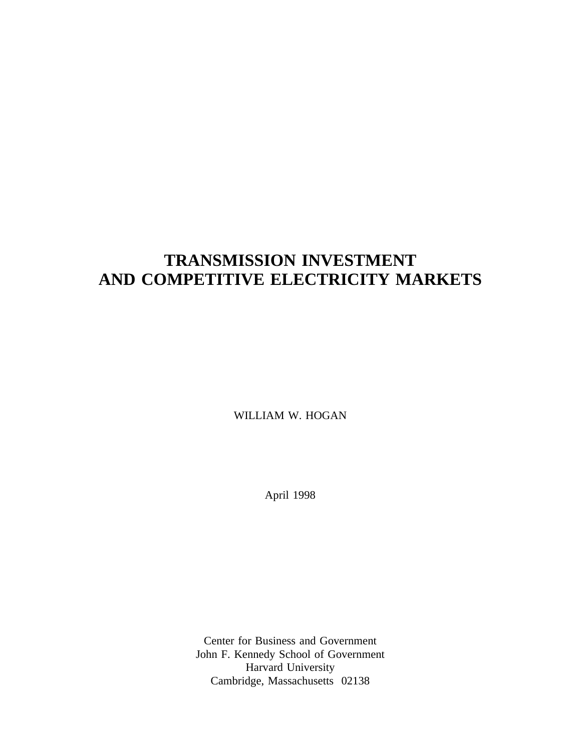# **TRANSMISSION INVESTMENT AND COMPETITIVE ELECTRICITY MARKETS**

WILLIAM W. HOGAN

April 1998

Center for Business and Government John F. Kennedy School of Government Harvard University Cambridge, Massachusetts 02138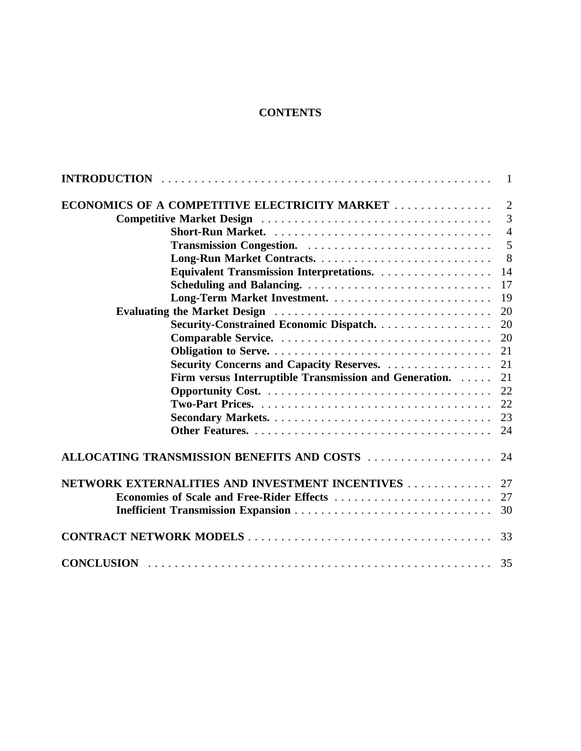# **CONTENTS**

|                                                        | $\overline{1}$ |
|--------------------------------------------------------|----------------|
| <b>ECONOMICS OF A COMPETITIVE ELECTRICITY MARKET </b>  | $\overline{2}$ |
|                                                        | 3              |
|                                                        | $\overline{4}$ |
|                                                        | $\overline{5}$ |
|                                                        | 8              |
| Equivalent Transmission Interpretations.               | 14             |
|                                                        | 17             |
|                                                        | 19             |
|                                                        | 20             |
| Security-Constrained Economic Dispatch.                | 20             |
|                                                        | 20             |
|                                                        | 21             |
| Security Concerns and Capacity Reserves.               | 21             |
| Firm versus Interruptible Transmission and Generation. | 21             |
|                                                        | 22             |
|                                                        | 22             |
|                                                        | 23             |
|                                                        | 24             |
| ALLOCATING TRANSMISSION BENEFITS AND COSTS             | 24             |
| NETWORK EXTERNALITIES AND INVESTMENT INCENTIVES        | 27             |
| <b>Economies of Scale and Free-Rider Effects</b>       | 27             |
|                                                        | 30             |
|                                                        | 33             |
|                                                        | 35             |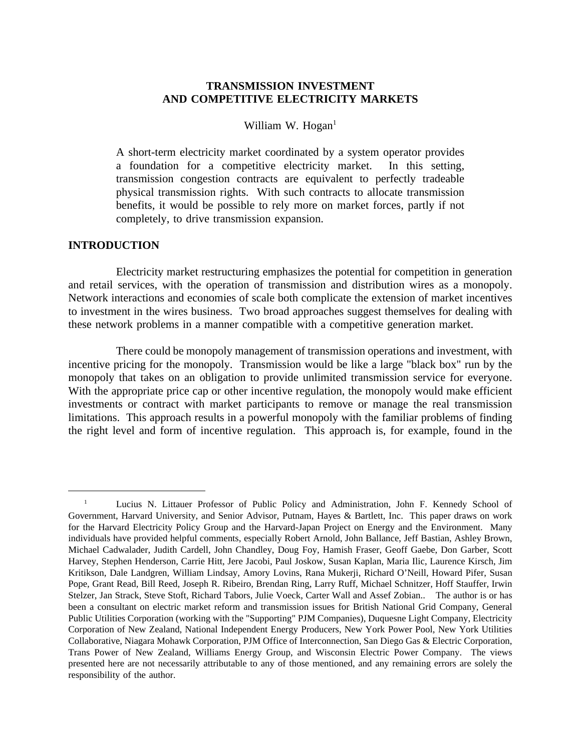# **TRANSMISSION INVESTMENT AND COMPETITIVE ELECTRICITY MARKETS**

# William W. Hogan $<sup>1</sup>$ </sup>

A short-term electricity market coordinated by a system operator provides a foundation for a competitive electricity market. In this setting, transmission congestion contracts are equivalent to perfectly tradeable physical transmission rights. With such contracts to allocate transmission benefits, it would be possible to rely more on market forces, partly if not completely, to drive transmission expansion.

# **INTRODUCTION**

Electricity market restructuring emphasizes the potential for competition in generation and retail services, with the operation of transmission and distribution wires as a monopoly. Network interactions and economies of scale both complicate the extension of market incentives to investment in the wires business. Two broad approaches suggest themselves for dealing with these network problems in a manner compatible with a competitive generation market.

There could be monopoly management of transmission operations and investment, with incentive pricing for the monopoly. Transmission would be like a large "black box" run by the monopoly that takes on an obligation to provide unlimited transmission service for everyone. With the appropriate price cap or other incentive regulation, the monopoly would make efficient investments or contract with market participants to remove or manage the real transmission limitations. This approach results in a powerful monopoly with the familiar problems of finding the right level and form of incentive regulation. This approach is, for example, found in the

<sup>1</sup> Lucius N. Littauer Professor of Public Policy and Administration, John F. Kennedy School of Government, Harvard University, and Senior Advisor, Putnam, Hayes & Bartlett, Inc. This paper draws on work for the Harvard Electricity Policy Group and the Harvard-Japan Project on Energy and the Environment. Many individuals have provided helpful comments, especially Robert Arnold, John Ballance, Jeff Bastian, Ashley Brown, Michael Cadwalader, Judith Cardell, John Chandley, Doug Foy, Hamish Fraser, Geoff Gaebe, Don Garber, Scott Harvey, Stephen Henderson, Carrie Hitt, Jere Jacobi, Paul Joskow, Susan Kaplan, Maria Ilic, Laurence Kirsch, Jim Kritikson, Dale Landgren, William Lindsay, Amory Lovins, Rana Mukerji, Richard O'Neill, Howard Pifer, Susan Pope, Grant Read, Bill Reed, Joseph R. Ribeiro, Brendan Ring, Larry Ruff, Michael Schnitzer, Hoff Stauffer, Irwin Stelzer, Jan Strack, Steve Stoft, Richard Tabors, Julie Voeck, Carter Wall and Assef Zobian.. The author is or has been a consultant on electric market reform and transmission issues for British National Grid Company, General Public Utilities Corporation (working with the "Supporting" PJM Companies), Duquesne Light Company, Electricity Corporation of New Zealand, National Independent Energy Producers, New York Power Pool, New York Utilities Collaborative, Niagara Mohawk Corporation, PJM Office of Interconnection, San Diego Gas & Electric Corporation, Trans Power of New Zealand, Williams Energy Group, and Wisconsin Electric Power Company. The views presented here are not necessarily attributable to any of those mentioned, and any remaining errors are solely the responsibility of the author.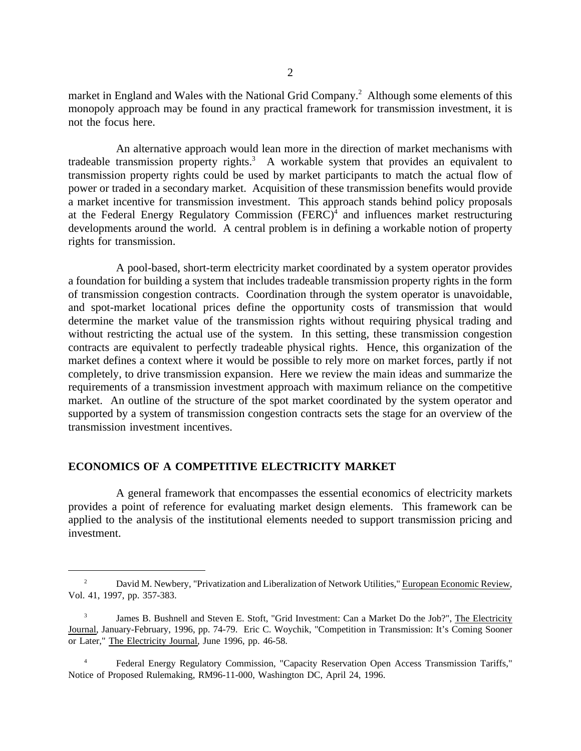market in England and Wales with the National Grid Company.2 Although some elements of this monopoly approach may be found in any practical framework for transmission investment, it is not the focus here.

An alternative approach would lean more in the direction of market mechanisms with tradeable transmission property rights.<sup>3</sup> A workable system that provides an equivalent to transmission property rights could be used by market participants to match the actual flow of power or traded in a secondary market. Acquisition of these transmission benefits would provide a market incentive for transmission investment. This approach stands behind policy proposals at the Federal Energy Regulatory Commission  $(FERC)^4$  and influences market restructuring developments around the world. A central problem is in defining a workable notion of property rights for transmission.

A pool-based, short-term electricity market coordinated by a system operator provides a foundation for building a system that includes tradeable transmission property rights in the form of transmission congestion contracts. Coordination through the system operator is unavoidable, and spot-market locational prices define the opportunity costs of transmission that would determine the market value of the transmission rights without requiring physical trading and without restricting the actual use of the system. In this setting, these transmission congestion contracts are equivalent to perfectly tradeable physical rights. Hence, this organization of the market defines a context where it would be possible to rely more on market forces, partly if not completely, to drive transmission expansion. Here we review the main ideas and summarize the requirements of a transmission investment approach with maximum reliance on the competitive market. An outline of the structure of the spot market coordinated by the system operator and supported by a system of transmission congestion contracts sets the stage for an overview of the transmission investment incentives.

# **ECONOMICS OF A COMPETITIVE ELECTRICITY MARKET**

A general framework that encompasses the essential economics of electricity markets provides a point of reference for evaluating market design elements. This framework can be applied to the analysis of the institutional elements needed to support transmission pricing and investment.

<sup>2</sup> David M. Newbery, "Privatization and Liberalization of Network Utilities," European Economic Review, Vol. 41, 1997, pp. 357-383.

<sup>3</sup> James B. Bushnell and Steven E. Stoft, "Grid Investment: Can a Market Do the Job?", The Electricity Journal, January-February, 1996, pp. 74-79. Eric C. Woychik, "Competition in Transmission: It's Coming Sooner or Later," The Electricity Journal, June 1996, pp. 46-58.

<sup>4</sup> Federal Energy Regulatory Commission, "Capacity Reservation Open Access Transmission Tariffs," Notice of Proposed Rulemaking, RM96-11-000, Washington DC, April 24, 1996.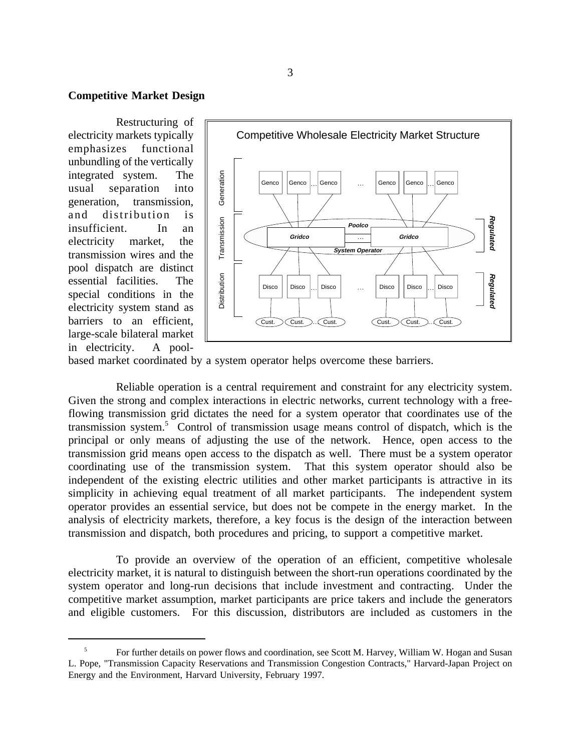# **Competitive Market Design**

Restructuring of electricity markets typically emphasizes functional unbundling of the vertically integrated system. The usual separation into generation, transmission, and distribution is insufficient. In an electricity market, the transmission wires and the pool dispatch are distinct essential facilities. The special conditions in the electricity system stand as barriers to an efficient, large-scale bilateral market in electricity. A pool-



based market coordinated by a system operator helps overcome these barriers.

Reliable operation is a central requirement and constraint for any electricity system. Given the strong and complex interactions in electric networks, current technology with a freeflowing transmission grid dictates the need for a system operator that coordinates use of the transmission system.5 Control of transmission usage means control of dispatch, which is the principal or only means of adjusting the use of the network. Hence, open access to the transmission grid means open access to the dispatch as well. There must be a system operator coordinating use of the transmission system. That this system operator should also be independent of the existing electric utilities and other market participants is attractive in its simplicity in achieving equal treatment of all market participants. The independent system operator provides an essential service, but does not be compete in the energy market. In the analysis of electricity markets, therefore, a key focus is the design of the interaction between transmission and dispatch, both procedures and pricing, to support a competitive market.

To provide an overview of the operation of an efficient, competitive wholesale electricity market, it is natural to distinguish between the short-run operations coordinated by the system operator and long-run decisions that include investment and contracting. Under the competitive market assumption, market participants are price takers and include the generators and eligible customers. For this discussion, distributors are included as customers in the

<sup>&</sup>lt;sup>5</sup> For further details on power flows and coordination, see Scott M. Harvey, William W. Hogan and Susan L. Pope, "Transmission Capacity Reservations and Transmission Congestion Contracts," Harvard-Japan Project on Energy and the Environment, Harvard University, February 1997.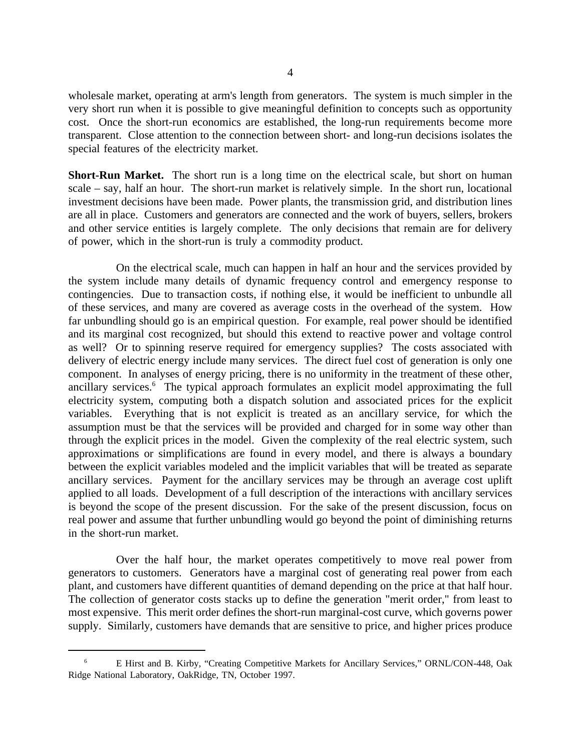wholesale market, operating at arm's length from generators. The system is much simpler in the very short run when it is possible to give meaningful definition to concepts such as opportunity cost. Once the short-run economics are established, the long-run requirements become more transparent. Close attention to the connection between short- and long-run decisions isolates the special features of the electricity market.

**Short-Run Market.** The short run is a long time on the electrical scale, but short on human scale – say, half an hour. The short-run market is relatively simple. In the short run, locational investment decisions have been made. Power plants, the transmission grid, and distribution lines are all in place. Customers and generators are connected and the work of buyers, sellers, brokers and other service entities is largely complete. The only decisions that remain are for delivery of power, which in the short-run is truly a commodity product.

On the electrical scale, much can happen in half an hour and the services provided by the system include many details of dynamic frequency control and emergency response to contingencies. Due to transaction costs, if nothing else, it would be inefficient to unbundle all of these services, and many are covered as average costs in the overhead of the system. How far unbundling should go is an empirical question. For example, real power should be identified and its marginal cost recognized, but should this extend to reactive power and voltage control as well? Or to spinning reserve required for emergency supplies? The costs associated with delivery of electric energy include many services. The direct fuel cost of generation is only one component. In analyses of energy pricing, there is no uniformity in the treatment of these other, ancillary services.<sup>6</sup> The typical approach formulates an explicit model approximating the full electricity system, computing both a dispatch solution and associated prices for the explicit variables. Everything that is not explicit is treated as an ancillary service, for which the assumption must be that the services will be provided and charged for in some way other than through the explicit prices in the model. Given the complexity of the real electric system, such approximations or simplifications are found in every model, and there is always a boundary between the explicit variables modeled and the implicit variables that will be treated as separate ancillary services. Payment for the ancillary services may be through an average cost uplift applied to all loads. Development of a full description of the interactions with ancillary services is beyond the scope of the present discussion. For the sake of the present discussion, focus on real power and assume that further unbundling would go beyond the point of diminishing returns in the short-run market.

Over the half hour, the market operates competitively to move real power from generators to customers. Generators have a marginal cost of generating real power from each plant, and customers have different quantities of demand depending on the price at that half hour. The collection of generator costs stacks up to define the generation "merit order," from least to most expensive. This merit order defines the short-run marginal-cost curve, which governs power supply. Similarly, customers have demands that are sensitive to price, and higher prices produce

<sup>6</sup> E Hirst and B. Kirby, "Creating Competitive Markets for Ancillary Services," ORNL/CON-448, Oak Ridge National Laboratory, OakRidge, TN, October 1997.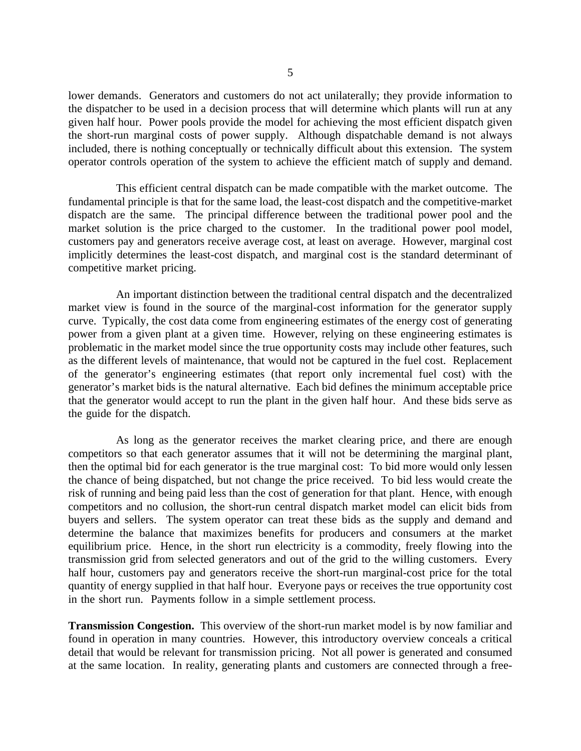lower demands. Generators and customers do not act unilaterally; they provide information to the dispatcher to be used in a decision process that will determine which plants will run at any given half hour. Power pools provide the model for achieving the most efficient dispatch given the short-run marginal costs of power supply. Although dispatchable demand is not always included, there is nothing conceptually or technically difficult about this extension. The system operator controls operation of the system to achieve the efficient match of supply and demand.

This efficient central dispatch can be made compatible with the market outcome. The fundamental principle is that for the same load, the least-cost dispatch and the competitive-market dispatch are the same. The principal difference between the traditional power pool and the market solution is the price charged to the customer. In the traditional power pool model, customers pay and generators receive average cost, at least on average. However, marginal cost implicitly determines the least-cost dispatch, and marginal cost is the standard determinant of competitive market pricing.

An important distinction between the traditional central dispatch and the decentralized market view is found in the source of the marginal-cost information for the generator supply curve. Typically, the cost data come from engineering estimates of the energy cost of generating power from a given plant at a given time. However, relying on these engineering estimates is problematic in the market model since the true opportunity costs may include other features, such as the different levels of maintenance, that would not be captured in the fuel cost. Replacement of the generator's engineering estimates (that report only incremental fuel cost) with the generator's market bids is the natural alternative. Each bid defines the minimum acceptable price that the generator would accept to run the plant in the given half hour. And these bids serve as the guide for the dispatch.

As long as the generator receives the market clearing price, and there are enough competitors so that each generator assumes that it will not be determining the marginal plant, then the optimal bid for each generator is the true marginal cost: To bid more would only lessen the chance of being dispatched, but not change the price received. To bid less would create the risk of running and being paid less than the cost of generation for that plant. Hence, with enough competitors and no collusion, the short-run central dispatch market model can elicit bids from buyers and sellers. The system operator can treat these bids as the supply and demand and determine the balance that maximizes benefits for producers and consumers at the market equilibrium price. Hence, in the short run electricity is a commodity, freely flowing into the transmission grid from selected generators and out of the grid to the willing customers. Every half hour, customers pay and generators receive the short-run marginal-cost price for the total quantity of energy supplied in that half hour. Everyone pays or receives the true opportunity cost in the short run. Payments follow in a simple settlement process.

**Transmission Congestion.** This overview of the short-run market model is by now familiar and found in operation in many countries. However, this introductory overview conceals a critical detail that would be relevant for transmission pricing. Not all power is generated and consumed at the same location. In reality, generating plants and customers are connected through a free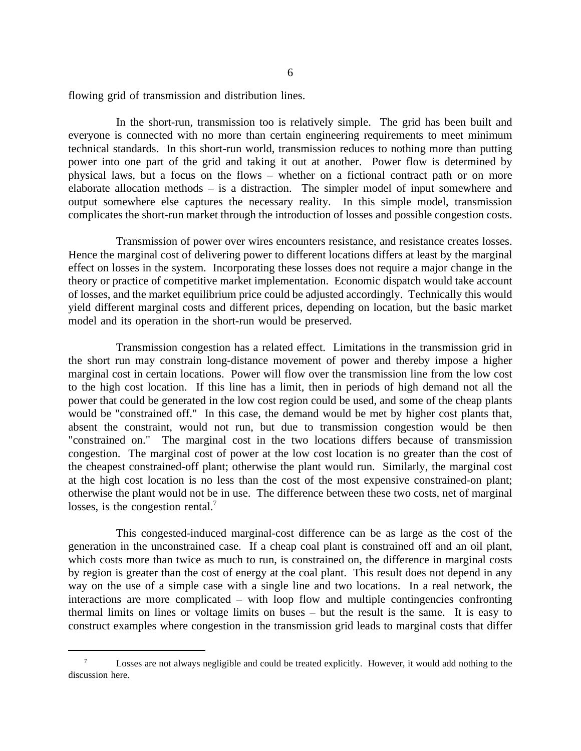flowing grid of transmission and distribution lines.

In the short-run, transmission too is relatively simple. The grid has been built and everyone is connected with no more than certain engineering requirements to meet minimum technical standards. In this short-run world, transmission reduces to nothing more than putting power into one part of the grid and taking it out at another. Power flow is determined by physical laws, but a focus on the flows – whether on a fictional contract path or on more elaborate allocation methods – is a distraction. The simpler model of input somewhere and output somewhere else captures the necessary reality. In this simple model, transmission complicates the short-run market through the introduction of losses and possible congestion costs.

Transmission of power over wires encounters resistance, and resistance creates losses. Hence the marginal cost of delivering power to different locations differs at least by the marginal effect on losses in the system. Incorporating these losses does not require a major change in the theory or practice of competitive market implementation. Economic dispatch would take account of losses, and the market equilibrium price could be adjusted accordingly. Technically this would yield different marginal costs and different prices, depending on location, but the basic market model and its operation in the short-run would be preserved.

Transmission congestion has a related effect. Limitations in the transmission grid in the short run may constrain long-distance movement of power and thereby impose a higher marginal cost in certain locations. Power will flow over the transmission line from the low cost to the high cost location. If this line has a limit, then in periods of high demand not all the power that could be generated in the low cost region could be used, and some of the cheap plants would be "constrained off." In this case, the demand would be met by higher cost plants that, absent the constraint, would not run, but due to transmission congestion would be then "constrained on." The marginal cost in the two locations differs because of transmission congestion. The marginal cost of power at the low cost location is no greater than the cost of the cheapest constrained-off plant; otherwise the plant would run. Similarly, the marginal cost at the high cost location is no less than the cost of the most expensive constrained-on plant; otherwise the plant would not be in use. The difference between these two costs, net of marginal losses, is the congestion rental.<sup>7</sup>

This congested-induced marginal-cost difference can be as large as the cost of the generation in the unconstrained case. If a cheap coal plant is constrained off and an oil plant, which costs more than twice as much to run, is constrained on, the difference in marginal costs by region is greater than the cost of energy at the coal plant. This result does not depend in any way on the use of a simple case with a single line and two locations. In a real network, the interactions are more complicated – with loop flow and multiple contingencies confronting thermal limits on lines or voltage limits on buses – but the result is the same. It is easy to construct examples where congestion in the transmission grid leads to marginal costs that differ

Losses are not always negligible and could be treated explicitly. However, it would add nothing to the discussion here.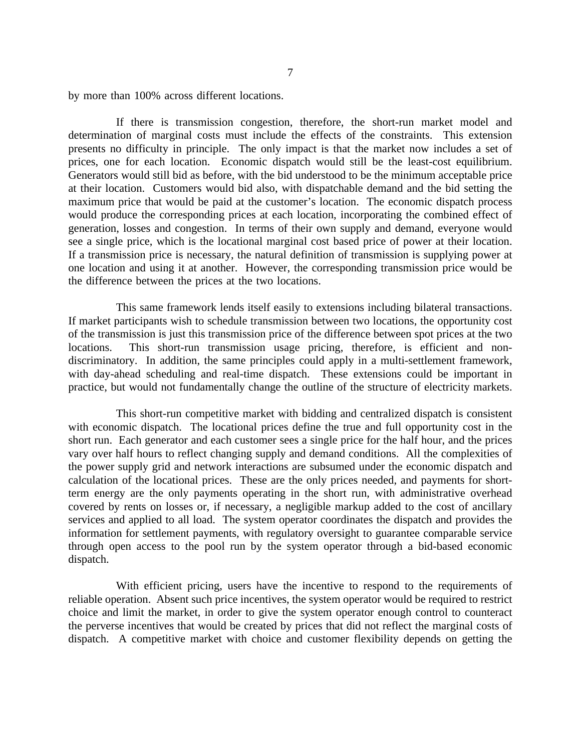by more than 100% across different locations.

If there is transmission congestion, therefore, the short-run market model and determination of marginal costs must include the effects of the constraints. This extension presents no difficulty in principle. The only impact is that the market now includes a set of prices, one for each location. Economic dispatch would still be the least-cost equilibrium. Generators would still bid as before, with the bid understood to be the minimum acceptable price at their location. Customers would bid also, with dispatchable demand and the bid setting the maximum price that would be paid at the customer's location. The economic dispatch process would produce the corresponding prices at each location, incorporating the combined effect of generation, losses and congestion. In terms of their own supply and demand, everyone would see a single price, which is the locational marginal cost based price of power at their location. If a transmission price is necessary, the natural definition of transmission is supplying power at one location and using it at another. However, the corresponding transmission price would be the difference between the prices at the two locations.

This same framework lends itself easily to extensions including bilateral transactions. If market participants wish to schedule transmission between two locations, the opportunity cost of the transmission is just this transmission price of the difference between spot prices at the two locations. This short-run transmission usage pricing, therefore, is efficient and nondiscriminatory. In addition, the same principles could apply in a multi-settlement framework, with day-ahead scheduling and real-time dispatch. These extensions could be important in practice, but would not fundamentally change the outline of the structure of electricity markets.

This short-run competitive market with bidding and centralized dispatch is consistent with economic dispatch. The locational prices define the true and full opportunity cost in the short run. Each generator and each customer sees a single price for the half hour, and the prices vary over half hours to reflect changing supply and demand conditions. All the complexities of the power supply grid and network interactions are subsumed under the economic dispatch and calculation of the locational prices. These are the only prices needed, and payments for shortterm energy are the only payments operating in the short run, with administrative overhead covered by rents on losses or, if necessary, a negligible markup added to the cost of ancillary services and applied to all load. The system operator coordinates the dispatch and provides the information for settlement payments, with regulatory oversight to guarantee comparable service through open access to the pool run by the system operator through a bid-based economic dispatch.

With efficient pricing, users have the incentive to respond to the requirements of reliable operation. Absent such price incentives, the system operator would be required to restrict choice and limit the market, in order to give the system operator enough control to counteract the perverse incentives that would be created by prices that did not reflect the marginal costs of dispatch. A competitive market with choice and customer flexibility depends on getting the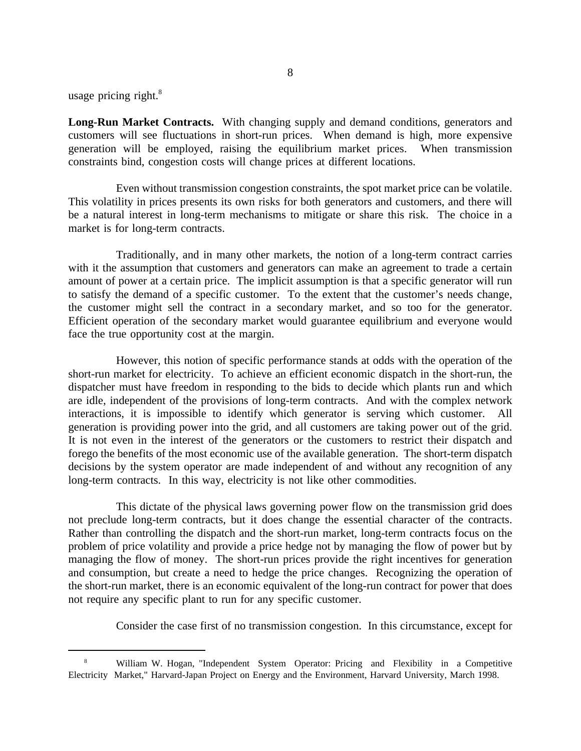usage pricing right.<sup>8</sup>

**Long-Run Market Contracts.** With changing supply and demand conditions, generators and customers will see fluctuations in short-run prices. When demand is high, more expensive generation will be employed, raising the equilibrium market prices. When transmission constraints bind, congestion costs will change prices at different locations.

Even without transmission congestion constraints, the spot market price can be volatile. This volatility in prices presents its own risks for both generators and customers, and there will be a natural interest in long-term mechanisms to mitigate or share this risk. The choice in a market is for long-term contracts.

Traditionally, and in many other markets, the notion of a long-term contract carries with it the assumption that customers and generators can make an agreement to trade a certain amount of power at a certain price. The implicit assumption is that a specific generator will run to satisfy the demand of a specific customer. To the extent that the customer's needs change, the customer might sell the contract in a secondary market, and so too for the generator. Efficient operation of the secondary market would guarantee equilibrium and everyone would face the true opportunity cost at the margin.

However, this notion of specific performance stands at odds with the operation of the short-run market for electricity. To achieve an efficient economic dispatch in the short-run, the dispatcher must have freedom in responding to the bids to decide which plants run and which are idle, independent of the provisions of long-term contracts. And with the complex network interactions, it is impossible to identify which generator is serving which customer. All generation is providing power into the grid, and all customers are taking power out of the grid. It is not even in the interest of the generators or the customers to restrict their dispatch and forego the benefits of the most economic use of the available generation. The short-term dispatch decisions by the system operator are made independent of and without any recognition of any long-term contracts. In this way, electricity is not like other commodities.

This dictate of the physical laws governing power flow on the transmission grid does not preclude long-term contracts, but it does change the essential character of the contracts. Rather than controlling the dispatch and the short-run market, long-term contracts focus on the problem of price volatility and provide a price hedge not by managing the flow of power but by managing the flow of money. The short-run prices provide the right incentives for generation and consumption, but create a need to hedge the price changes. Recognizing the operation of the short-run market, there is an economic equivalent of the long-run contract for power that does not require any specific plant to run for any specific customer.

Consider the case first of no transmission congestion. In this circumstance, except for

William W. Hogan, "Independent System Operator: Pricing and Flexibility in a Competitive Electricity Market," Harvard-Japan Project on Energy and the Environment, Harvard University, March 1998.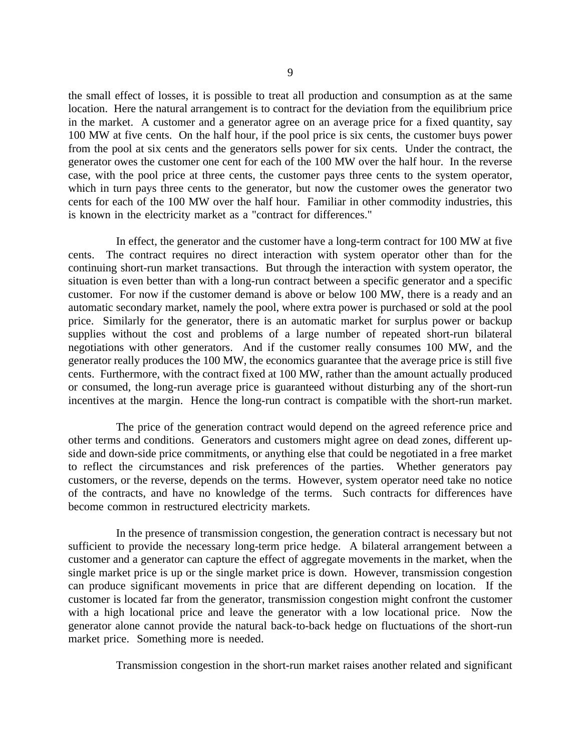the small effect of losses, it is possible to treat all production and consumption as at the same location. Here the natural arrangement is to contract for the deviation from the equilibrium price in the market. A customer and a generator agree on an average price for a fixed quantity, say 100 MW at five cents. On the half hour, if the pool price is six cents, the customer buys power from the pool at six cents and the generators sells power for six cents. Under the contract, the generator owes the customer one cent for each of the 100 MW over the half hour. In the reverse case, with the pool price at three cents, the customer pays three cents to the system operator, which in turn pays three cents to the generator, but now the customer owes the generator two cents for each of the 100 MW over the half hour. Familiar in other commodity industries, this is known in the electricity market as a "contract for differences."

In effect, the generator and the customer have a long-term contract for 100 MW at five cents. The contract requires no direct interaction with system operator other than for the continuing short-run market transactions. But through the interaction with system operator, the situation is even better than with a long-run contract between a specific generator and a specific customer. For now if the customer demand is above or below 100 MW, there is a ready and an automatic secondary market, namely the pool, where extra power is purchased or sold at the pool price. Similarly for the generator, there is an automatic market for surplus power or backup supplies without the cost and problems of a large number of repeated short-run bilateral negotiations with other generators. And if the customer really consumes 100 MW, and the generator really produces the 100 MW, the economics guarantee that the average price is still five cents. Furthermore, with the contract fixed at 100 MW, rather than the amount actually produced or consumed, the long-run average price is guaranteed without disturbing any of the short-run incentives at the margin. Hence the long-run contract is compatible with the short-run market.

The price of the generation contract would depend on the agreed reference price and other terms and conditions. Generators and customers might agree on dead zones, different upside and down-side price commitments, or anything else that could be negotiated in a free market to reflect the circumstances and risk preferences of the parties. Whether generators pay customers, or the reverse, depends on the terms. However, system operator need take no notice of the contracts, and have no knowledge of the terms. Such contracts for differences have become common in restructured electricity markets.

In the presence of transmission congestion, the generation contract is necessary but not sufficient to provide the necessary long-term price hedge. A bilateral arrangement between a customer and a generator can capture the effect of aggregate movements in the market, when the single market price is up or the single market price is down. However, transmission congestion can produce significant movements in price that are different depending on location. If the customer is located far from the generator, transmission congestion might confront the customer with a high locational price and leave the generator with a low locational price. Now the generator alone cannot provide the natural back-to-back hedge on fluctuations of the short-run market price. Something more is needed.

Transmission congestion in the short-run market raises another related and significant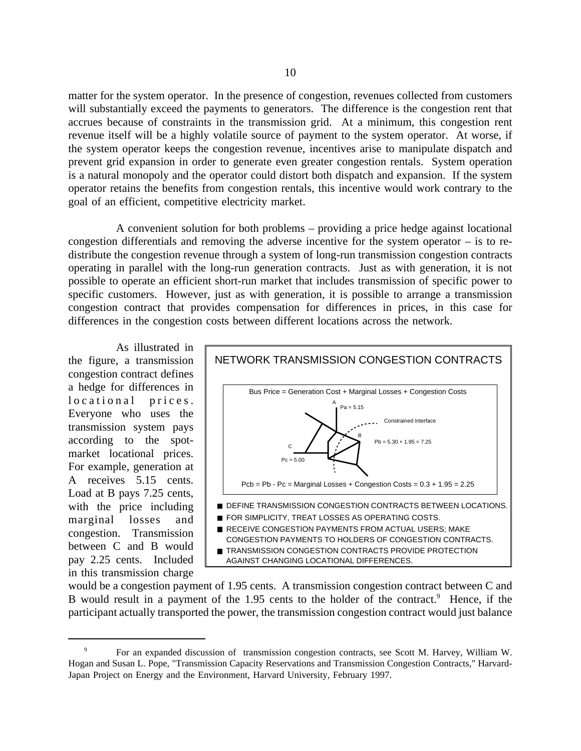matter for the system operator. In the presence of congestion, revenues collected from customers will substantially exceed the payments to generators. The difference is the congestion rent that accrues because of constraints in the transmission grid. At a minimum, this congestion rent revenue itself will be a highly volatile source of payment to the system operator. At worse, if the system operator keeps the congestion revenue, incentives arise to manipulate dispatch and prevent grid expansion in order to generate even greater congestion rentals. System operation is a natural monopoly and the operator could distort both dispatch and expansion. If the system operator retains the benefits from congestion rentals, this incentive would work contrary to the goal of an efficient, competitive electricity market.

A convenient solution for both problems – providing a price hedge against locational congestion differentials and removing the adverse incentive for the system operator – is to redistribute the congestion revenue through a system of long-run transmission congestion contracts operating in parallel with the long-run generation contracts. Just as with generation, it is not possible to operate an efficient short-run market that includes transmission of specific power to specific customers. However, just as with generation, it is possible to arrange a transmission congestion contract that provides compensation for differences in prices, in this case for differences in the congestion costs between different locations across the network.

As illustrated in congestion contract defines a hedge for differences in locational prices. Everyone who uses the transmission system pays according to the spotmarket locational prices. For example, generation at A receives 5.15 cents. Load at B pays 7.25 cents, with the price including marginal losses and congestion. Transmission between C and B would pay 2.25 cents. Included in this transmission charge



would be a congestion payment of 1.95 cents. A transmission congestion contract between C and B would result in a payment of the 1.95 cents to the holder of the contract.<sup>9</sup> Hence, if the participant actually transported the power, the transmission congestion contract would just balance

<sup>9</sup> For an expanded discussion of transmission congestion contracts, see Scott M. Harvey, William W. Hogan and Susan L. Pope, "Transmission Capacity Reservations and Transmission Congestion Contracts," Harvard-Japan Project on Energy and the Environment, Harvard University, February 1997.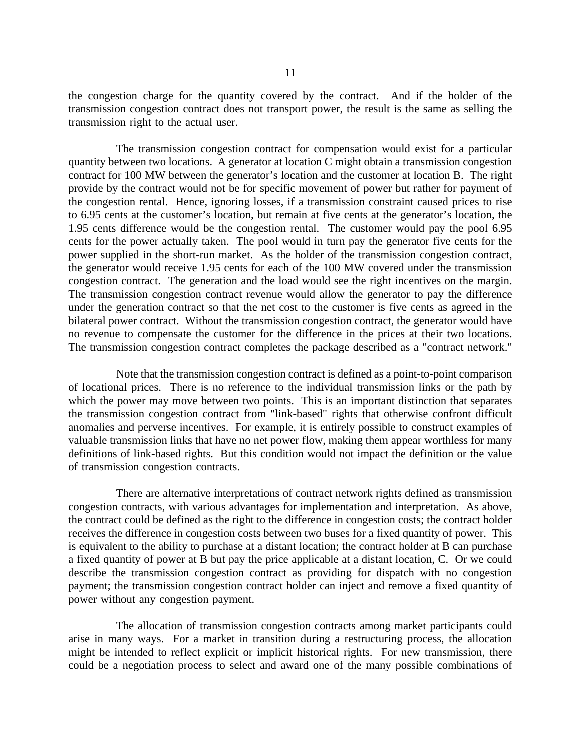the congestion charge for the quantity covered by the contract. And if the holder of the transmission congestion contract does not transport power, the result is the same as selling the transmission right to the actual user.

The transmission congestion contract for compensation would exist for a particular quantity between two locations. A generator at location C might obtain a transmission congestion contract for 100 MW between the generator's location and the customer at location B. The right provide by the contract would not be for specific movement of power but rather for payment of the congestion rental. Hence, ignoring losses, if a transmission constraint caused prices to rise to 6.95 cents at the customer's location, but remain at five cents at the generator's location, the 1.95 cents difference would be the congestion rental. The customer would pay the pool 6.95 cents for the power actually taken. The pool would in turn pay the generator five cents for the power supplied in the short-run market. As the holder of the transmission congestion contract, the generator would receive 1.95 cents for each of the 100 MW covered under the transmission congestion contract. The generation and the load would see the right incentives on the margin. The transmission congestion contract revenue would allow the generator to pay the difference under the generation contract so that the net cost to the customer is five cents as agreed in the bilateral power contract. Without the transmission congestion contract, the generator would have no revenue to compensate the customer for the difference in the prices at their two locations. The transmission congestion contract completes the package described as a "contract network."

Note that the transmission congestion contract is defined as a point-to-point comparison of locational prices. There is no reference to the individual transmission links or the path by which the power may move between two points. This is an important distinction that separates the transmission congestion contract from "link-based" rights that otherwise confront difficult anomalies and perverse incentives. For example, it is entirely possible to construct examples of valuable transmission links that have no net power flow, making them appear worthless for many definitions of link-based rights. But this condition would not impact the definition or the value of transmission congestion contracts.

There are alternative interpretations of contract network rights defined as transmission congestion contracts, with various advantages for implementation and interpretation. As above, the contract could be defined as the right to the difference in congestion costs; the contract holder receives the difference in congestion costs between two buses for a fixed quantity of power. This is equivalent to the ability to purchase at a distant location; the contract holder at B can purchase a fixed quantity of power at B but pay the price applicable at a distant location, C. Or we could describe the transmission congestion contract as providing for dispatch with no congestion payment; the transmission congestion contract holder can inject and remove a fixed quantity of power without any congestion payment.

The allocation of transmission congestion contracts among market participants could arise in many ways. For a market in transition during a restructuring process, the allocation might be intended to reflect explicit or implicit historical rights. For new transmission, there could be a negotiation process to select and award one of the many possible combinations of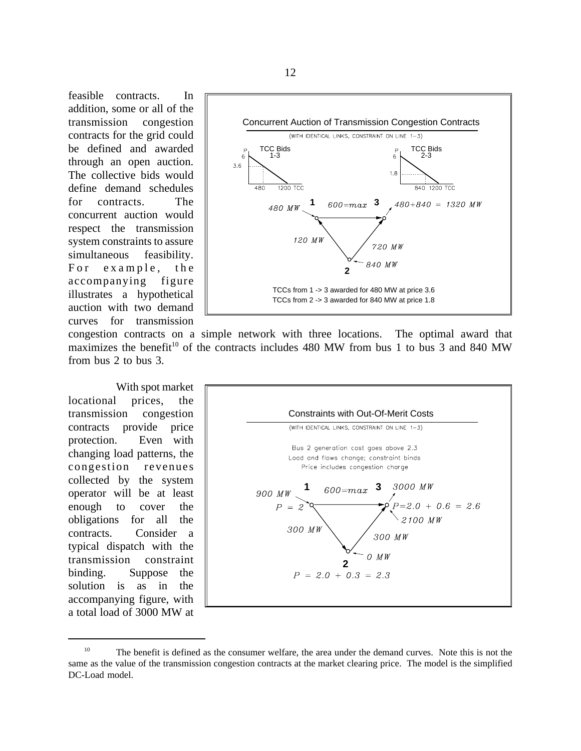feasible contracts. In addition, some or all of the transmission congestion contracts for the grid could be defined and awarded through an open auction. The collective bids would define demand schedules for contracts. The concurrent auction would respect the transmission system constraints to assure simultaneous feasibility. For example, the accompanying figure illustrates a hypothetical auction with two demand curves for transmission



congestion contracts on a simple network with three locations. The optimal award that maximizes the benefit<sup>10</sup> of the contracts includes 480 MW from bus 1 to bus 3 and 840 MW from bus 2 to bus 3.

With spot market locational prices, the transmission congestion contracts provide price protection. Even with changing load patterns, the congestion revenues collected by the system operator will be at least enough to cover the obligations for all the contracts. Consider a typical dispatch with the transmission constraint binding. Suppose the solution is as in the accompanying figure, with a total load of 3000 MW at



<sup>&</sup>lt;sup>10</sup> The benefit is defined as the consumer welfare, the area under the demand curves. Note this is not the same as the value of the transmission congestion contracts at the market clearing price. The model is the simplified DC-Load model.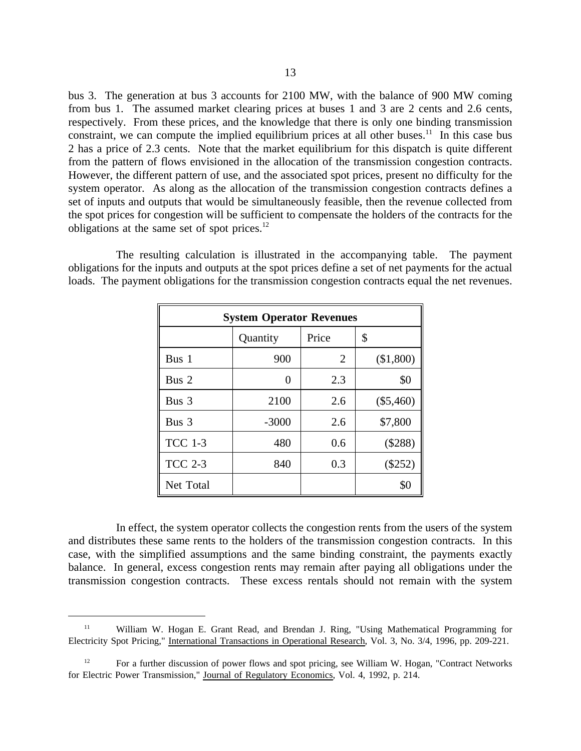bus 3. The generation at bus 3 accounts for 2100 MW, with the balance of 900 MW coming from bus 1. The assumed market clearing prices at buses 1 and 3 are 2 cents and 2.6 cents, respectively. From these prices, and the knowledge that there is only one binding transmission constraint, we can compute the implied equilibrium prices at all other buses.<sup>11</sup> In this case bus 2 has a price of 2.3 cents. Note that the market equilibrium for this dispatch is quite different from the pattern of flows envisioned in the allocation of the transmission congestion contracts. However, the different pattern of use, and the associated spot prices, present no difficulty for the system operator. As along as the allocation of the transmission congestion contracts defines a set of inputs and outputs that would be simultaneously feasible, then the revenue collected from the spot prices for congestion will be sufficient to compensate the holders of the contracts for the obligations at the same set of spot prices.<sup>12</sup>

The resulting calculation is illustrated in the accompanying table. The payment obligations for the inputs and outputs at the spot prices define a set of net payments for the actual loads. The payment obligations for the transmission congestion contracts equal the net revenues.

| <b>System Operator Revenues</b> |          |       |             |  |
|---------------------------------|----------|-------|-------------|--|
|                                 | Quantity | Price | \$          |  |
| Bus 1                           | 900      | 2     | (\$1,800)   |  |
| Bus 2                           | 0        | 2.3   | \$0         |  |
| Bus 3                           | 2100     | 2.6   | $(\$5,460)$ |  |
| Bus 3                           | $-3000$  | 2.6   | \$7,800     |  |
| <b>TCC 1-3</b>                  | 480      | 0.6   | (\$288)     |  |
| <b>TCC 2-3</b>                  | 840      | 0.3   | (\$252)     |  |
| Net Total                       |          |       | \$0         |  |

In effect, the system operator collects the congestion rents from the users of the system and distributes these same rents to the holders of the transmission congestion contracts. In this case, with the simplified assumptions and the same binding constraint, the payments exactly balance. In general, excess congestion rents may remain after paying all obligations under the transmission congestion contracts. These excess rentals should not remain with the system

<sup>11</sup> William W. Hogan E. Grant Read, and Brendan J. Ring, "Using Mathematical Programming for Electricity Spot Pricing," International Transactions in Operational Research, Vol. 3, No. 3/4, 1996, pp. 209-221.

<sup>&</sup>lt;sup>12</sup> For a further discussion of power flows and spot pricing, see William W. Hogan, "Contract Networks" for Electric Power Transmission," Journal of Regulatory Economics, Vol. 4, 1992, p. 214.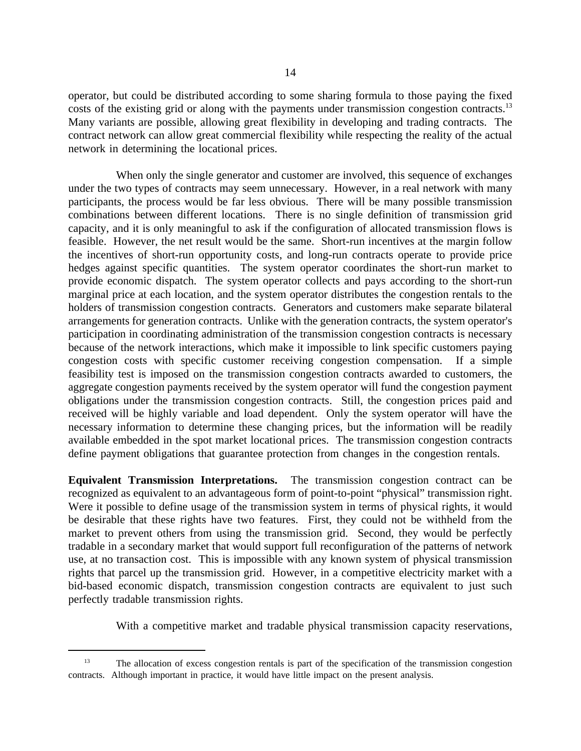operator, but could be distributed according to some sharing formula to those paying the fixed costs of the existing grid or along with the payments under transmission congestion contracts.<sup>13</sup> Many variants are possible, allowing great flexibility in developing and trading contracts. The contract network can allow great commercial flexibility while respecting the reality of the actual network in determining the locational prices.

When only the single generator and customer are involved, this sequence of exchanges under the two types of contracts may seem unnecessary. However, in a real network with many participants, the process would be far less obvious. There will be many possible transmission combinations between different locations. There is no single definition of transmission grid capacity, and it is only meaningful to ask if the configuration of allocated transmission flows is feasible. However, the net result would be the same. Short-run incentives at the margin follow the incentives of short-run opportunity costs, and long-run contracts operate to provide price hedges against specific quantities. The system operator coordinates the short-run market to provide economic dispatch. The system operator collects and pays according to the short-run marginal price at each location, and the system operator distributes the congestion rentals to the holders of transmission congestion contracts. Generators and customers make separate bilateral arrangements for generation contracts. Unlike with the generation contracts, the system operator's participation in coordinating administration of the transmission congestion contracts is necessary because of the network interactions, which make it impossible to link specific customers paying congestion costs with specific customer receiving congestion compensation. If a simple feasibility test is imposed on the transmission congestion contracts awarded to customers, the aggregate congestion payments received by the system operator will fund the congestion payment obligations under the transmission congestion contracts. Still, the congestion prices paid and received will be highly variable and load dependent. Only the system operator will have the necessary information to determine these changing prices, but the information will be readily available embedded in the spot market locational prices. The transmission congestion contracts define payment obligations that guarantee protection from changes in the congestion rentals.

**Equivalent Transmission Interpretations.** The transmission congestion contract can be recognized as equivalent to an advantageous form of point-to-point "physical" transmission right. Were it possible to define usage of the transmission system in terms of physical rights, it would be desirable that these rights have two features. First, they could not be withheld from the market to prevent others from using the transmission grid. Second, they would be perfectly tradable in a secondary market that would support full reconfiguration of the patterns of network use, at no transaction cost. This is impossible with any known system of physical transmission rights that parcel up the transmission grid. However, in a competitive electricity market with a bid-based economic dispatch, transmission congestion contracts are equivalent to just such perfectly tradable transmission rights.

With a competitive market and tradable physical transmission capacity reservations,

<sup>&</sup>lt;sup>13</sup> The allocation of excess congestion rentals is part of the specification of the transmission congestion contracts. Although important in practice, it would have little impact on the present analysis.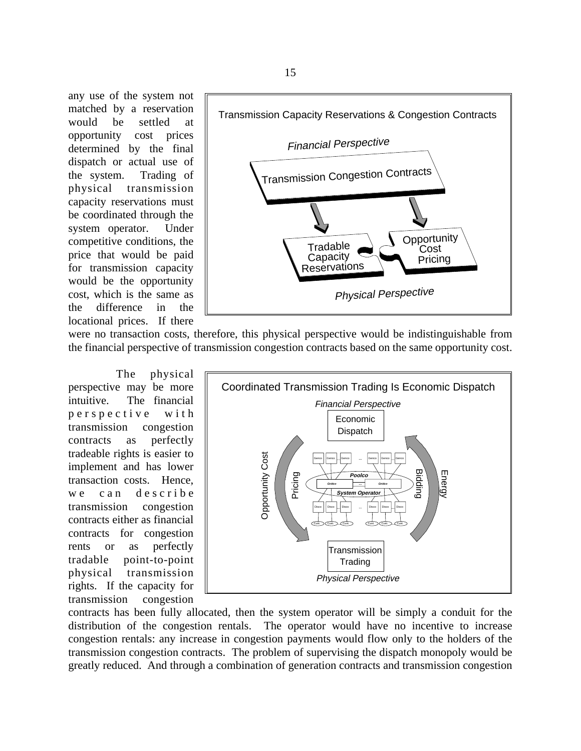any use of the system not matched by a reservation would be settled at opportunity cost prices determined by the final dispatch or actual use of the system. Trading of physical transmission capacity reservations must be coordinated through the system operator. Under competitive conditions, the price that would be paid for transmission capacity would be the opportunity cost, which is the same as the difference in the locational prices. If there



were no transaction costs, therefore, this physical perspective would be indistinguishable from the financial perspective of transmission congestion contracts based on the same opportunity cost.

The physical perspective may be more intuitive. The financial perspective with transmission congestion contracts as perfectly tradeable rights is easier to implement and has lower transaction costs. Hence, we can describe transmission congestion contracts either as financial contracts for congestion rents or as perfectly tradable point-to-point physical transmission rights. If the capacity for transmission congestion



contracts has been fully allocated, then the system operator will be simply a conduit for the distribution of the congestion rentals. The operator would have no incentive to increase congestion rentals: any increase in congestion payments would flow only to the holders of the transmission congestion contracts. The problem of supervising the dispatch monopoly would be greatly reduced. And through a combination of generation contracts and transmission congestion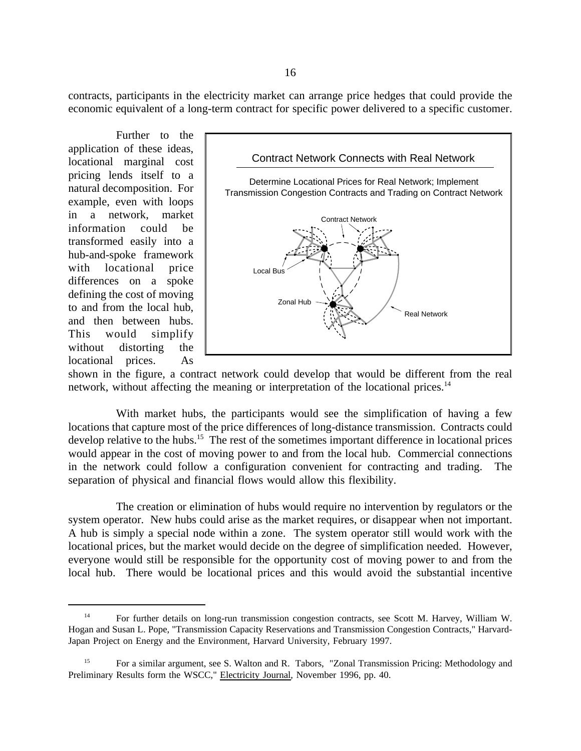contracts, participants in the electricity market can arrange price hedges that could provide the economic equivalent of a long-term contract for specific power delivered to a specific customer.

Further to the application of these ideas, locational marginal cost pricing lends itself to a natural decomposition. For example, even with loops in a network, market information could be transformed easily into a hub-and-spoke framework with locational price differences on a spoke defining the cost of moving to and from the local hub, and then between hubs. This would simplify without distorting the locational prices. As



shown in the figure, a contract network could develop that would be different from the real network, without affecting the meaning or interpretation of the locational prices.<sup>14</sup>

With market hubs, the participants would see the simplification of having a few locations that capture most of the price differences of long-distance transmission. Contracts could develop relative to the hubs.<sup>15</sup> The rest of the sometimes important difference in locational prices would appear in the cost of moving power to and from the local hub. Commercial connections in the network could follow a configuration convenient for contracting and trading. The separation of physical and financial flows would allow this flexibility.

The creation or elimination of hubs would require no intervention by regulators or the system operator. New hubs could arise as the market requires, or disappear when not important. A hub is simply a special node within a zone. The system operator still would work with the locational prices, but the market would decide on the degree of simplification needed. However, everyone would still be responsible for the opportunity cost of moving power to and from the local hub. There would be locational prices and this would avoid the substantial incentive

<sup>&</sup>lt;sup>14</sup> For further details on long-run transmission congestion contracts, see Scott M. Harvey, William W. Hogan and Susan L. Pope, "Transmission Capacity Reservations and Transmission Congestion Contracts," Harvard-Japan Project on Energy and the Environment, Harvard University, February 1997.

<sup>&</sup>lt;sup>15</sup> For a similar argument, see S. Walton and R. Tabors, "Zonal Transmission Pricing: Methodology and Preliminary Results form the WSCC," Electricity Journal, November 1996, pp. 40.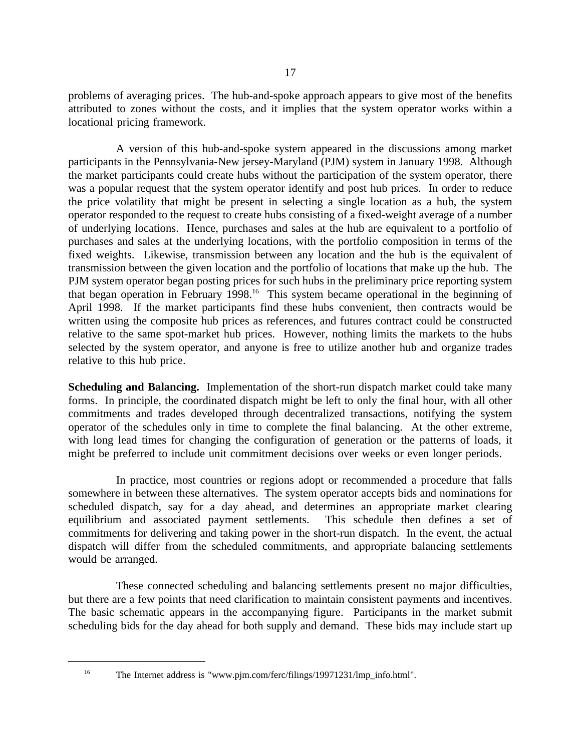problems of averaging prices. The hub-and-spoke approach appears to give most of the benefits attributed to zones without the costs, and it implies that the system operator works within a locational pricing framework.

A version of this hub-and-spoke system appeared in the discussions among market participants in the Pennsylvania-New jersey-Maryland (PJM) system in January 1998. Although the market participants could create hubs without the participation of the system operator, there was a popular request that the system operator identify and post hub prices. In order to reduce the price volatility that might be present in selecting a single location as a hub, the system operator responded to the request to create hubs consisting of a fixed-weight average of a number of underlying locations. Hence, purchases and sales at the hub are equivalent to a portfolio of purchases and sales at the underlying locations, with the portfolio composition in terms of the fixed weights. Likewise, transmission between any location and the hub is the equivalent of transmission between the given location and the portfolio of locations that make up the hub. The PJM system operator began posting prices for such hubs in the preliminary price reporting system that began operation in February 1998.<sup>16</sup> This system became operational in the beginning of April 1998. If the market participants find these hubs convenient, then contracts would be written using the composite hub prices as references, and futures contract could be constructed relative to the same spot-market hub prices. However, nothing limits the markets to the hubs selected by the system operator, and anyone is free to utilize another hub and organize trades relative to this hub price.

**Scheduling and Balancing.** Implementation of the short-run dispatch market could take many forms. In principle, the coordinated dispatch might be left to only the final hour, with all other commitments and trades developed through decentralized transactions, notifying the system operator of the schedules only in time to complete the final balancing. At the other extreme, with long lead times for changing the configuration of generation or the patterns of loads, it might be preferred to include unit commitment decisions over weeks or even longer periods.

In practice, most countries or regions adopt or recommended a procedure that falls somewhere in between these alternatives. The system operator accepts bids and nominations for scheduled dispatch, say for a day ahead, and determines an appropriate market clearing equilibrium and associated payment settlements. This schedule then defines a set of commitments for delivering and taking power in the short-run dispatch. In the event, the actual dispatch will differ from the scheduled commitments, and appropriate balancing settlements would be arranged.

These connected scheduling and balancing settlements present no major difficulties, but there are a few points that need clarification to maintain consistent payments and incentives. The basic schematic appears in the accompanying figure. Participants in the market submit scheduling bids for the day ahead for both supply and demand. These bids may include start up

<sup>&</sup>lt;sup>16</sup> The Internet address is "www.pjm.com/ferc/filings/19971231/lmp\_info.html".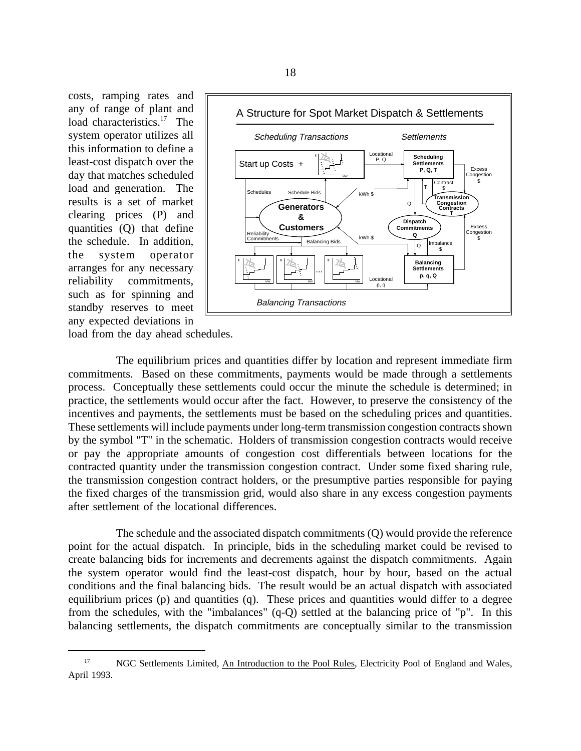costs, ramping rates and any of range of plant and load characteristics.<sup>17</sup> The system operator utilizes all this information to define a least-cost dispatch over the day that matches scheduled load and generation. The results is a set of market clearing prices (P) and quantities (Q) that define the schedule. In addition, the system operator arranges for any necessary reliability commitments, such as for spinning and standby reserves to meet any expected deviations in



load from the day ahead schedules.

The equilibrium prices and quantities differ by location and represent immediate firm commitments. Based on these commitments, payments would be made through a settlements process. Conceptually these settlements could occur the minute the schedule is determined; in practice, the settlements would occur after the fact. However, to preserve the consistency of the incentives and payments, the settlements must be based on the scheduling prices and quantities. These settlements will include payments under long-term transmission congestion contracts shown by the symbol "T" in the schematic. Holders of transmission congestion contracts would receive or pay the appropriate amounts of congestion cost differentials between locations for the contracted quantity under the transmission congestion contract. Under some fixed sharing rule, the transmission congestion contract holders, or the presumptive parties responsible for paying the fixed charges of the transmission grid, would also share in any excess congestion payments after settlement of the locational differences.

The schedule and the associated dispatch commitments (Q) would provide the reference point for the actual dispatch. In principle, bids in the scheduling market could be revised to create balancing bids for increments and decrements against the dispatch commitments. Again the system operator would find the least-cost dispatch, hour by hour, based on the actual conditions and the final balancing bids. The result would be an actual dispatch with associated equilibrium prices (p) and quantities (q). These prices and quantities would differ to a degree from the schedules, with the "imbalances" (q-Q) settled at the balancing price of "p". In this balancing settlements, the dispatch commitments are conceptually similar to the transmission

<sup>&</sup>lt;sup>17</sup> NGC Settlements Limited, An Introduction to the Pool Rules, Electricity Pool of England and Wales, April 1993.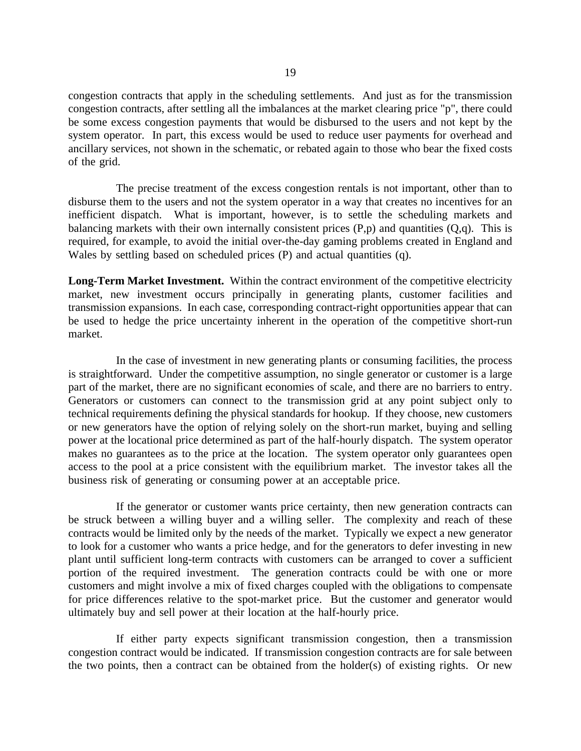congestion contracts that apply in the scheduling settlements. And just as for the transmission congestion contracts, after settling all the imbalances at the market clearing price "p", there could be some excess congestion payments that would be disbursed to the users and not kept by the system operator. In part, this excess would be used to reduce user payments for overhead and ancillary services, not shown in the schematic, or rebated again to those who bear the fixed costs of the grid.

The precise treatment of the excess congestion rentals is not important, other than to disburse them to the users and not the system operator in a way that creates no incentives for an inefficient dispatch. What is important, however, is to settle the scheduling markets and balancing markets with their own internally consistent prices  $(P, p)$  and quantities  $(Q, q)$ . This is required, for example, to avoid the initial over-the-day gaming problems created in England and Wales by settling based on scheduled prices (P) and actual quantities (q).

Long-Term Market Investment. Within the contract environment of the competitive electricity market, new investment occurs principally in generating plants, customer facilities and transmission expansions. In each case, corresponding contract-right opportunities appear that can be used to hedge the price uncertainty inherent in the operation of the competitive short-run market.

In the case of investment in new generating plants or consuming facilities, the process is straightforward. Under the competitive assumption, no single generator or customer is a large part of the market, there are no significant economies of scale, and there are no barriers to entry. Generators or customers can connect to the transmission grid at any point subject only to technical requirements defining the physical standards for hookup. If they choose, new customers or new generators have the option of relying solely on the short-run market, buying and selling power at the locational price determined as part of the half-hourly dispatch. The system operator makes no guarantees as to the price at the location. The system operator only guarantees open access to the pool at a price consistent with the equilibrium market. The investor takes all the business risk of generating or consuming power at an acceptable price.

If the generator or customer wants price certainty, then new generation contracts can be struck between a willing buyer and a willing seller. The complexity and reach of these contracts would be limited only by the needs of the market. Typically we expect a new generator to look for a customer who wants a price hedge, and for the generators to defer investing in new plant until sufficient long-term contracts with customers can be arranged to cover a sufficient portion of the required investment. The generation contracts could be with one or more customers and might involve a mix of fixed charges coupled with the obligations to compensate for price differences relative to the spot-market price. But the customer and generator would ultimately buy and sell power at their location at the half-hourly price.

If either party expects significant transmission congestion, then a transmission congestion contract would be indicated. If transmission congestion contracts are for sale between the two points, then a contract can be obtained from the holder(s) of existing rights. Or new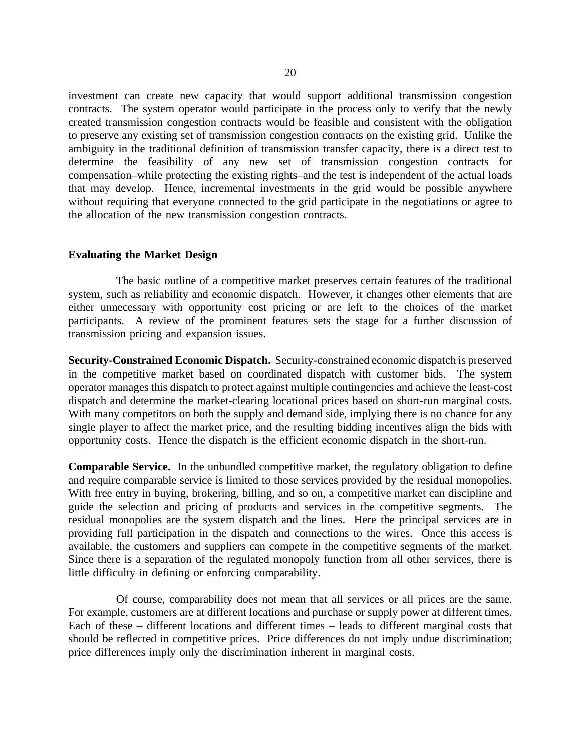investment can create new capacity that would support additional transmission congestion contracts. The system operator would participate in the process only to verify that the newly created transmission congestion contracts would be feasible and consistent with the obligation to preserve any existing set of transmission congestion contracts on the existing grid. Unlike the ambiguity in the traditional definition of transmission transfer capacity, there is a direct test to determine the feasibility of any new set of transmission congestion contracts for compensation–while protecting the existing rights–and the test is independent of the actual loads that may develop. Hence, incremental investments in the grid would be possible anywhere without requiring that everyone connected to the grid participate in the negotiations or agree to the allocation of the new transmission congestion contracts.

#### **Evaluating the Market Design**

The basic outline of a competitive market preserves certain features of the traditional system, such as reliability and economic dispatch. However, it changes other elements that are either unnecessary with opportunity cost pricing or are left to the choices of the market participants. A review of the prominent features sets the stage for a further discussion of transmission pricing and expansion issues.

**Security-Constrained Economic Dispatch.** Security-constrained economic dispatch is preserved in the competitive market based on coordinated dispatch with customer bids. The system operator manages this dispatch to protect against multiple contingencies and achieve the least-cost dispatch and determine the market-clearing locational prices based on short-run marginal costs. With many competitors on both the supply and demand side, implying there is no chance for any single player to affect the market price, and the resulting bidding incentives align the bids with opportunity costs. Hence the dispatch is the efficient economic dispatch in the short-run.

**Comparable Service.** In the unbundled competitive market, the regulatory obligation to define and require comparable service is limited to those services provided by the residual monopolies. With free entry in buying, brokering, billing, and so on, a competitive market can discipline and guide the selection and pricing of products and services in the competitive segments. The residual monopolies are the system dispatch and the lines. Here the principal services are in providing full participation in the dispatch and connections to the wires. Once this access is available, the customers and suppliers can compete in the competitive segments of the market. Since there is a separation of the regulated monopoly function from all other services, there is little difficulty in defining or enforcing comparability.

Of course, comparability does not mean that all services or all prices are the same. For example, customers are at different locations and purchase or supply power at different times. Each of these – different locations and different times – leads to different marginal costs that should be reflected in competitive prices. Price differences do not imply undue discrimination; price differences imply only the discrimination inherent in marginal costs.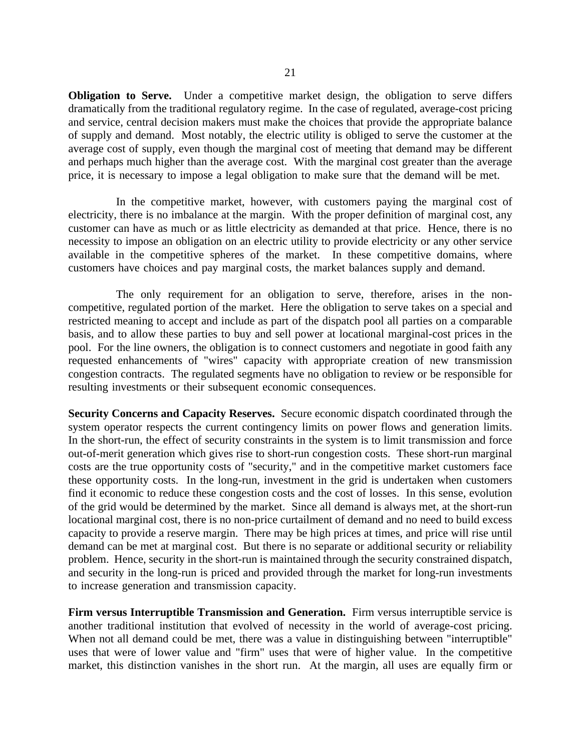**Obligation to Serve.** Under a competitive market design, the obligation to serve differs dramatically from the traditional regulatory regime. In the case of regulated, average-cost pricing and service, central decision makers must make the choices that provide the appropriate balance of supply and demand. Most notably, the electric utility is obliged to serve the customer at the average cost of supply, even though the marginal cost of meeting that demand may be different and perhaps much higher than the average cost. With the marginal cost greater than the average price, it is necessary to impose a legal obligation to make sure that the demand will be met.

In the competitive market, however, with customers paying the marginal cost of electricity, there is no imbalance at the margin. With the proper definition of marginal cost, any customer can have as much or as little electricity as demanded at that price. Hence, there is no necessity to impose an obligation on an electric utility to provide electricity or any other service available in the competitive spheres of the market. In these competitive domains, where customers have choices and pay marginal costs, the market balances supply and demand.

The only requirement for an obligation to serve, therefore, arises in the noncompetitive, regulated portion of the market. Here the obligation to serve takes on a special and restricted meaning to accept and include as part of the dispatch pool all parties on a comparable basis, and to allow these parties to buy and sell power at locational marginal-cost prices in the pool. For the line owners, the obligation is to connect customers and negotiate in good faith any requested enhancements of "wires" capacity with appropriate creation of new transmission congestion contracts. The regulated segments have no obligation to review or be responsible for resulting investments or their subsequent economic consequences.

**Security Concerns and Capacity Reserves.** Secure economic dispatch coordinated through the system operator respects the current contingency limits on power flows and generation limits. In the short-run, the effect of security constraints in the system is to limit transmission and force out-of-merit generation which gives rise to short-run congestion costs. These short-run marginal costs are the true opportunity costs of "security," and in the competitive market customers face these opportunity costs. In the long-run, investment in the grid is undertaken when customers find it economic to reduce these congestion costs and the cost of losses. In this sense, evolution of the grid would be determined by the market. Since all demand is always met, at the short-run locational marginal cost, there is no non-price curtailment of demand and no need to build excess capacity to provide a reserve margin. There may be high prices at times, and price will rise until demand can be met at marginal cost. But there is no separate or additional security or reliability problem. Hence, security in the short-run is maintained through the security constrained dispatch, and security in the long-run is priced and provided through the market for long-run investments to increase generation and transmission capacity.

**Firm versus Interruptible Transmission and Generation.** Firm versus interruptible service is another traditional institution that evolved of necessity in the world of average-cost pricing. When not all demand could be met, there was a value in distinguishing between "interruptible" uses that were of lower value and "firm" uses that were of higher value. In the competitive market, this distinction vanishes in the short run. At the margin, all uses are equally firm or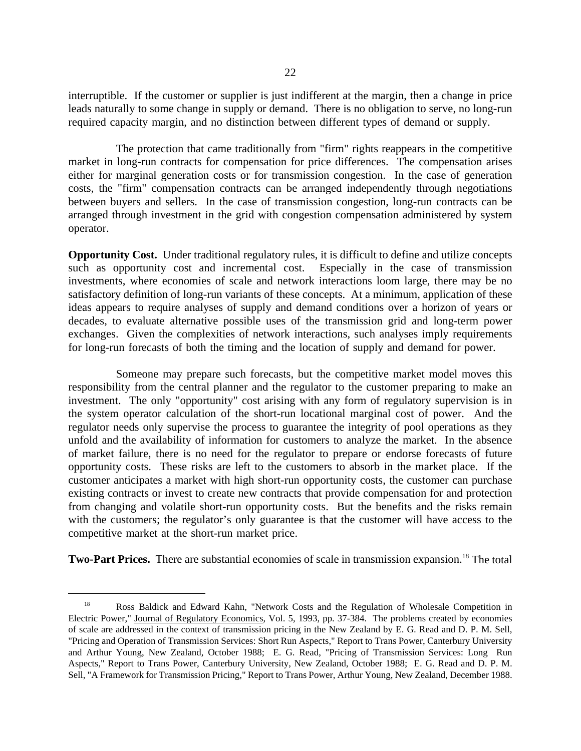interruptible. If the customer or supplier is just indifferent at the margin, then a change in price leads naturally to some change in supply or demand. There is no obligation to serve, no long-run required capacity margin, and no distinction between different types of demand or supply.

The protection that came traditionally from "firm" rights reappears in the competitive market in long-run contracts for compensation for price differences. The compensation arises either for marginal generation costs or for transmission congestion. In the case of generation costs, the "firm" compensation contracts can be arranged independently through negotiations between buyers and sellers. In the case of transmission congestion, long-run contracts can be arranged through investment in the grid with congestion compensation administered by system operator.

**Opportunity Cost.** Under traditional regulatory rules, it is difficult to define and utilize concepts such as opportunity cost and incremental cost. Especially in the case of transmission investments, where economies of scale and network interactions loom large, there may be no satisfactory definition of long-run variants of these concepts. At a minimum, application of these ideas appears to require analyses of supply and demand conditions over a horizon of years or decades, to evaluate alternative possible uses of the transmission grid and long-term power exchanges. Given the complexities of network interactions, such analyses imply requirements for long-run forecasts of both the timing and the location of supply and demand for power.

Someone may prepare such forecasts, but the competitive market model moves this responsibility from the central planner and the regulator to the customer preparing to make an investment. The only "opportunity" cost arising with any form of regulatory supervision is in the system operator calculation of the short-run locational marginal cost of power. And the regulator needs only supervise the process to guarantee the integrity of pool operations as they unfold and the availability of information for customers to analyze the market. In the absence of market failure, there is no need for the regulator to prepare or endorse forecasts of future opportunity costs. These risks are left to the customers to absorb in the market place. If the customer anticipates a market with high short-run opportunity costs, the customer can purchase existing contracts or invest to create new contracts that provide compensation for and protection from changing and volatile short-run opportunity costs. But the benefits and the risks remain with the customers; the regulator's only guarantee is that the customer will have access to the competitive market at the short-run market price.

**Two-Part Prices.** There are substantial economies of scale in transmission expansion.<sup>18</sup> The total

<sup>&</sup>lt;sup>18</sup> Ross Baldick and Edward Kahn, "Network Costs and the Regulation of Wholesale Competition in Electric Power," Journal of Regulatory Economics, Vol. 5, 1993, pp. 37-384. The problems created by economies of scale are addressed in the context of transmission pricing in the New Zealand by E. G. Read and D. P. M. Sell, "Pricing and Operation of Transmission Services: Short Run Aspects," Report to Trans Power, Canterbury University and Arthur Young, New Zealand, October 1988; E. G. Read, "Pricing of Transmission Services: Long Run Aspects," Report to Trans Power, Canterbury University, New Zealand, October 1988; E. G. Read and D. P. M. Sell, "A Framework for Transmission Pricing," Report to Trans Power, Arthur Young, New Zealand, December 1988.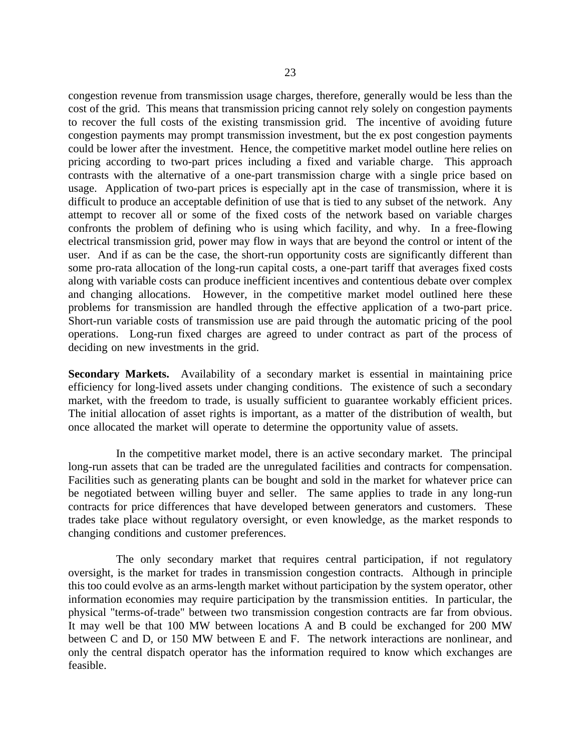congestion revenue from transmission usage charges, therefore, generally would be less than the cost of the grid. This means that transmission pricing cannot rely solely on congestion payments to recover the full costs of the existing transmission grid. The incentive of avoiding future congestion payments may prompt transmission investment, but the ex post congestion payments could be lower after the investment. Hence, the competitive market model outline here relies on pricing according to two-part prices including a fixed and variable charge. This approach contrasts with the alternative of a one-part transmission charge with a single price based on usage. Application of two-part prices is especially apt in the case of transmission, where it is difficult to produce an acceptable definition of use that is tied to any subset of the network. Any attempt to recover all or some of the fixed costs of the network based on variable charges confronts the problem of defining who is using which facility, and why. In a free-flowing electrical transmission grid, power may flow in ways that are beyond the control or intent of the user. And if as can be the case, the short-run opportunity costs are significantly different than some pro-rata allocation of the long-run capital costs, a one-part tariff that averages fixed costs along with variable costs can produce inefficient incentives and contentious debate over complex and changing allocations. However, in the competitive market model outlined here these problems for transmission are handled through the effective application of a two-part price. Short-run variable costs of transmission use are paid through the automatic pricing of the pool operations. Long-run fixed charges are agreed to under contract as part of the process of deciding on new investments in the grid.

**Secondary Markets.** Availability of a secondary market is essential in maintaining price efficiency for long-lived assets under changing conditions. The existence of such a secondary market, with the freedom to trade, is usually sufficient to guarantee workably efficient prices. The initial allocation of asset rights is important, as a matter of the distribution of wealth, but once allocated the market will operate to determine the opportunity value of assets.

In the competitive market model, there is an active secondary market. The principal long-run assets that can be traded are the unregulated facilities and contracts for compensation. Facilities such as generating plants can be bought and sold in the market for whatever price can be negotiated between willing buyer and seller. The same applies to trade in any long-run contracts for price differences that have developed between generators and customers. These trades take place without regulatory oversight, or even knowledge, as the market responds to changing conditions and customer preferences.

The only secondary market that requires central participation, if not regulatory oversight, is the market for trades in transmission congestion contracts. Although in principle this too could evolve as an arms-length market without participation by the system operator, other information economies may require participation by the transmission entities. In particular, the physical "terms-of-trade" between two transmission congestion contracts are far from obvious. It may well be that 100 MW between locations A and B could be exchanged for 200 MW between C and D, or 150 MW between E and F. The network interactions are nonlinear, and only the central dispatch operator has the information required to know which exchanges are feasible.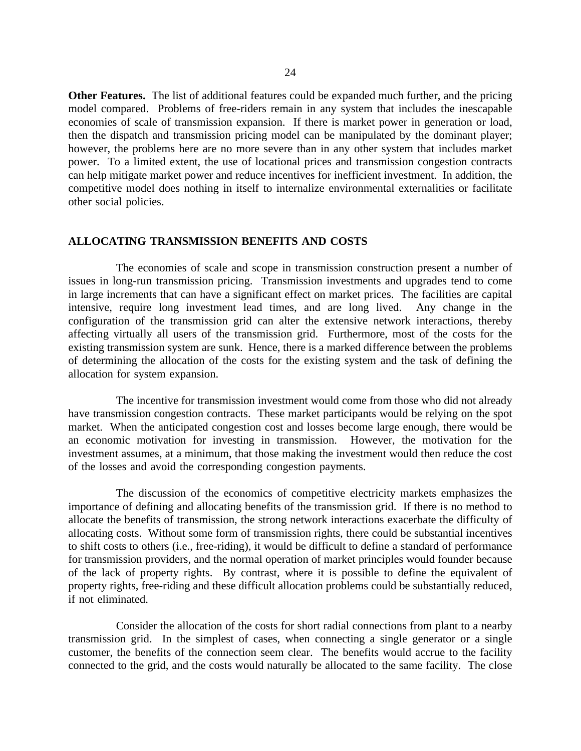**Other Features.** The list of additional features could be expanded much further, and the pricing model compared. Problems of free-riders remain in any system that includes the inescapable economies of scale of transmission expansion. If there is market power in generation or load, then the dispatch and transmission pricing model can be manipulated by the dominant player; however, the problems here are no more severe than in any other system that includes market power. To a limited extent, the use of locational prices and transmission congestion contracts can help mitigate market power and reduce incentives for inefficient investment. In addition, the competitive model does nothing in itself to internalize environmental externalities or facilitate other social policies.

### **ALLOCATING TRANSMISSION BENEFITS AND COSTS**

The economies of scale and scope in transmission construction present a number of issues in long-run transmission pricing. Transmission investments and upgrades tend to come in large increments that can have a significant effect on market prices. The facilities are capital intensive, require long investment lead times, and are long lived. Any change in the configuration of the transmission grid can alter the extensive network interactions, thereby affecting virtually all users of the transmission grid. Furthermore, most of the costs for the existing transmission system are sunk. Hence, there is a marked difference between the problems of determining the allocation of the costs for the existing system and the task of defining the allocation for system expansion.

The incentive for transmission investment would come from those who did not already have transmission congestion contracts. These market participants would be relying on the spot market. When the anticipated congestion cost and losses become large enough, there would be an economic motivation for investing in transmission. However, the motivation for the investment assumes, at a minimum, that those making the investment would then reduce the cost of the losses and avoid the corresponding congestion payments.

The discussion of the economics of competitive electricity markets emphasizes the importance of defining and allocating benefits of the transmission grid. If there is no method to allocate the benefits of transmission, the strong network interactions exacerbate the difficulty of allocating costs. Without some form of transmission rights, there could be substantial incentives to shift costs to others (i.e., free-riding), it would be difficult to define a standard of performance for transmission providers, and the normal operation of market principles would founder because of the lack of property rights. By contrast, where it is possible to define the equivalent of property rights, free-riding and these difficult allocation problems could be substantially reduced, if not eliminated.

Consider the allocation of the costs for short radial connections from plant to a nearby transmission grid. In the simplest of cases, when connecting a single generator or a single customer, the benefits of the connection seem clear. The benefits would accrue to the facility connected to the grid, and the costs would naturally be allocated to the same facility. The close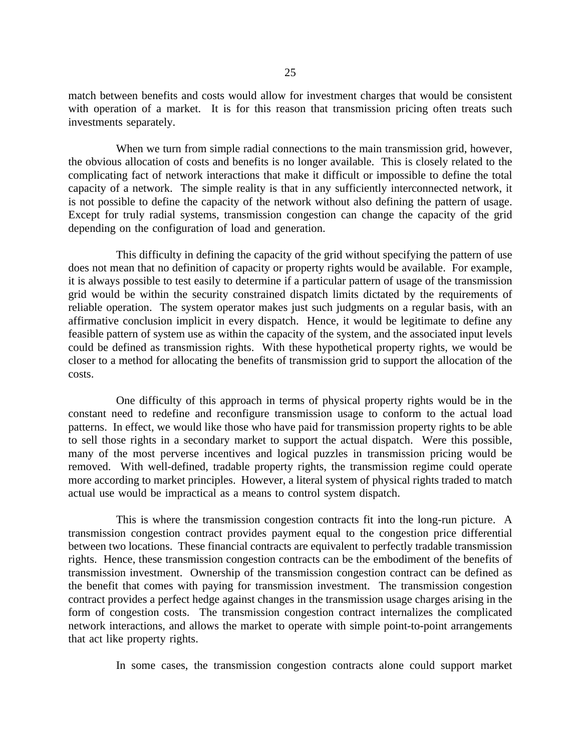match between benefits and costs would allow for investment charges that would be consistent with operation of a market. It is for this reason that transmission pricing often treats such investments separately.

When we turn from simple radial connections to the main transmission grid, however, the obvious allocation of costs and benefits is no longer available. This is closely related to the complicating fact of network interactions that make it difficult or impossible to define the total capacity of a network. The simple reality is that in any sufficiently interconnected network, it is not possible to define the capacity of the network without also defining the pattern of usage. Except for truly radial systems, transmission congestion can change the capacity of the grid depending on the configuration of load and generation.

This difficulty in defining the capacity of the grid without specifying the pattern of use does not mean that no definition of capacity or property rights would be available. For example, it is always possible to test easily to determine if a particular pattern of usage of the transmission grid would be within the security constrained dispatch limits dictated by the requirements of reliable operation. The system operator makes just such judgments on a regular basis, with an affirmative conclusion implicit in every dispatch. Hence, it would be legitimate to define any feasible pattern of system use as within the capacity of the system, and the associated input levels could be defined as transmission rights. With these hypothetical property rights, we would be closer to a method for allocating the benefits of transmission grid to support the allocation of the costs.

One difficulty of this approach in terms of physical property rights would be in the constant need to redefine and reconfigure transmission usage to conform to the actual load patterns. In effect, we would like those who have paid for transmission property rights to be able to sell those rights in a secondary market to support the actual dispatch. Were this possible, many of the most perverse incentives and logical puzzles in transmission pricing would be removed. With well-defined, tradable property rights, the transmission regime could operate more according to market principles. However, a literal system of physical rights traded to match actual use would be impractical as a means to control system dispatch.

This is where the transmission congestion contracts fit into the long-run picture. A transmission congestion contract provides payment equal to the congestion price differential between two locations. These financial contracts are equivalent to perfectly tradable transmission rights. Hence, these transmission congestion contracts can be the embodiment of the benefits of transmission investment. Ownership of the transmission congestion contract can be defined as the benefit that comes with paying for transmission investment. The transmission congestion contract provides a perfect hedge against changes in the transmission usage charges arising in the form of congestion costs. The transmission congestion contract internalizes the complicated network interactions, and allows the market to operate with simple point-to-point arrangements that act like property rights.

In some cases, the transmission congestion contracts alone could support market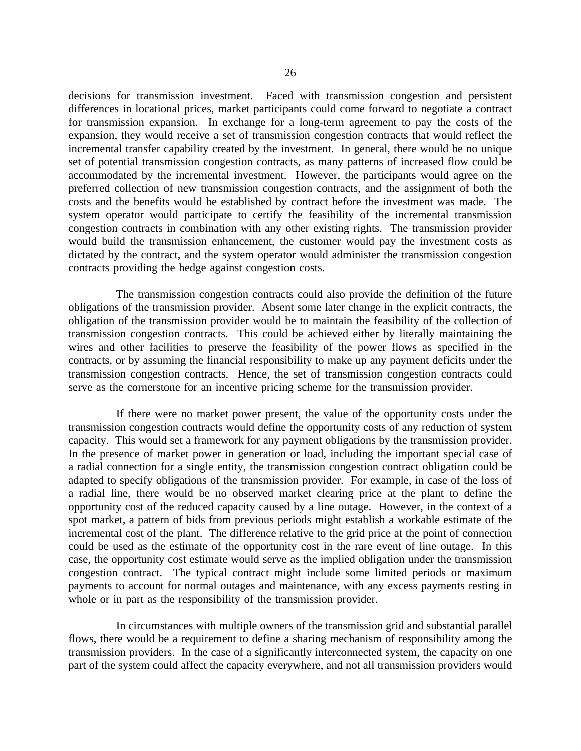decisions for transmission investment. Faced with transmission congestion and persistent differences in locational prices, market participants could come forward to negotiate a contract for transmission expansion. In exchange for a long-term agreement to pay the costs of the expansion, they would receive a set of transmission congestion contracts that would reflect the incremental transfer capability created by the investment. In general, there would be no unique set of potential transmission congestion contracts, as many patterns of increased flow could be accommodated by the incremental investment. However, the participants would agree on the preferred collection of new transmission congestion contracts, and the assignment of both the costs and the benefits would be established by contract before the investment was made. The system operator would participate to certify the feasibility of the incremental transmission congestion contracts in combination with any other existing rights. The transmission provider would build the transmission enhancement, the customer would pay the investment costs as dictated by the contract, and the system operator would administer the transmission congestion contracts providing the hedge against congestion costs.

The transmission congestion contracts could also provide the definition of the future obligations of the transmission provider. Absent some later change in the explicit contracts, the obligation of the transmission provider would be to maintain the feasibility of the collection of transmission congestion contracts. This could be achieved either by literally maintaining the wires and other facilities to preserve the feasibility of the power flows as specified in the contracts, or by assuming the financial responsibility to make up any payment deficits under the transmission congestion contracts. Hence, the set of transmission congestion contracts could serve as the cornerstone for an incentive pricing scheme for the transmission provider.

If there were no market power present, the value of the opportunity costs under the transmission congestion contracts would define the opportunity costs of any reduction of system capacity. This would set a framework for any payment obligations by the transmission provider. In the presence of market power in generation or load, including the important special case of a radial connection for a single entity, the transmission congestion contract obligation could be adapted to specify obligations of the transmission provider. For example, in case of the loss of a radial line, there would be no observed market clearing price at the plant to define the opportunity cost of the reduced capacity caused by a line outage. However, in the context of a spot market, a pattern of bids from previous periods might establish a workable estimate of the incremental cost of the plant. The difference relative to the grid price at the point of connection could be used as the estimate of the opportunity cost in the rare event of line outage. In this case, the opportunity cost estimate would serve as the implied obligation under the transmission congestion contract. The typical contract might include some limited periods or maximum payments to account for normal outages and maintenance, with any excess payments resting in whole or in part as the responsibility of the transmission provider.

In circumstances with multiple owners of the transmission grid and substantial parallel flows, there would be a requirement to define a sharing mechanism of responsibility among the transmission providers. In the case of a significantly interconnected system, the capacity on one part of the system could affect the capacity everywhere, and not all transmission providers would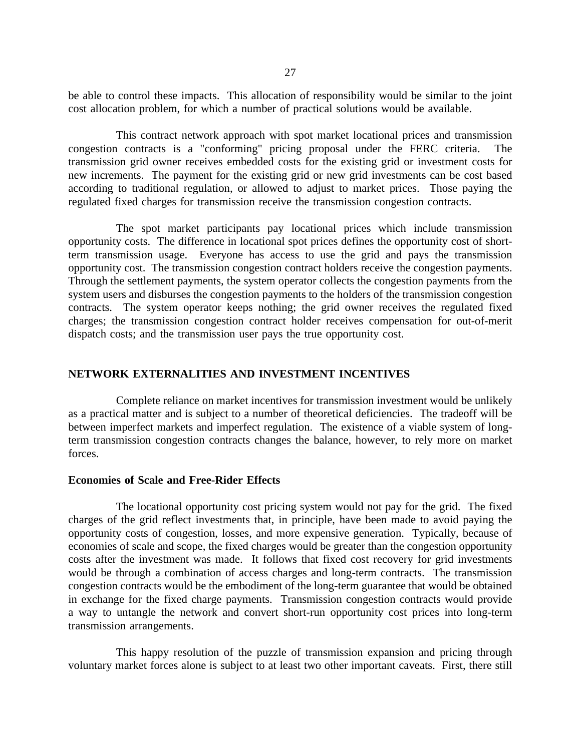be able to control these impacts. This allocation of responsibility would be similar to the joint cost allocation problem, for which a number of practical solutions would be available.

This contract network approach with spot market locational prices and transmission congestion contracts is a "conforming" pricing proposal under the FERC criteria. The transmission grid owner receives embedded costs for the existing grid or investment costs for new increments. The payment for the existing grid or new grid investments can be cost based according to traditional regulation, or allowed to adjust to market prices. Those paying the regulated fixed charges for transmission receive the transmission congestion contracts.

The spot market participants pay locational prices which include transmission opportunity costs. The difference in locational spot prices defines the opportunity cost of shortterm transmission usage. Everyone has access to use the grid and pays the transmission opportunity cost. The transmission congestion contract holders receive the congestion payments. Through the settlement payments, the system operator collects the congestion payments from the system users and disburses the congestion payments to the holders of the transmission congestion contracts. The system operator keeps nothing; the grid owner receives the regulated fixed charges; the transmission congestion contract holder receives compensation for out-of-merit dispatch costs; and the transmission user pays the true opportunity cost.

# **NETWORK EXTERNALITIES AND INVESTMENT INCENTIVES**

Complete reliance on market incentives for transmission investment would be unlikely as a practical matter and is subject to a number of theoretical deficiencies. The tradeoff will be between imperfect markets and imperfect regulation. The existence of a viable system of longterm transmission congestion contracts changes the balance, however, to rely more on market forces.

# **Economies of Scale and Free-Rider Effects**

The locational opportunity cost pricing system would not pay for the grid. The fixed charges of the grid reflect investments that, in principle, have been made to avoid paying the opportunity costs of congestion, losses, and more expensive generation. Typically, because of economies of scale and scope, the fixed charges would be greater than the congestion opportunity costs after the investment was made. It follows that fixed cost recovery for grid investments would be through a combination of access charges and long-term contracts. The transmission congestion contracts would be the embodiment of the long-term guarantee that would be obtained in exchange for the fixed charge payments. Transmission congestion contracts would provide a way to untangle the network and convert short-run opportunity cost prices into long-term transmission arrangements.

This happy resolution of the puzzle of transmission expansion and pricing through voluntary market forces alone is subject to at least two other important caveats. First, there still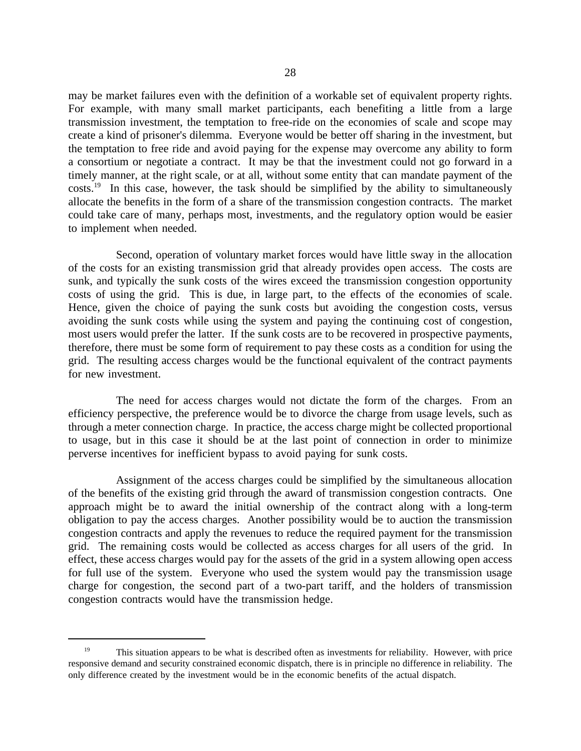may be market failures even with the definition of a workable set of equivalent property rights. For example, with many small market participants, each benefiting a little from a large transmission investment, the temptation to free-ride on the economies of scale and scope may create a kind of prisoner's dilemma. Everyone would be better off sharing in the investment, but the temptation to free ride and avoid paying for the expense may overcome any ability to form a consortium or negotiate a contract. It may be that the investment could not go forward in a timely manner, at the right scale, or at all, without some entity that can mandate payment of the  $costs<sup>19</sup>$  In this case, however, the task should be simplified by the ability to simultaneously allocate the benefits in the form of a share of the transmission congestion contracts. The market could take care of many, perhaps most, investments, and the regulatory option would be easier to implement when needed.

Second, operation of voluntary market forces would have little sway in the allocation of the costs for an existing transmission grid that already provides open access. The costs are sunk, and typically the sunk costs of the wires exceed the transmission congestion opportunity costs of using the grid. This is due, in large part, to the effects of the economies of scale. Hence, given the choice of paying the sunk costs but avoiding the congestion costs, versus avoiding the sunk costs while using the system and paying the continuing cost of congestion, most users would prefer the latter. If the sunk costs are to be recovered in prospective payments, therefore, there must be some form of requirement to pay these costs as a condition for using the grid. The resulting access charges would be the functional equivalent of the contract payments for new investment.

The need for access charges would not dictate the form of the charges. From an efficiency perspective, the preference would be to divorce the charge from usage levels, such as through a meter connection charge. In practice, the access charge might be collected proportional to usage, but in this case it should be at the last point of connection in order to minimize perverse incentives for inefficient bypass to avoid paying for sunk costs.

Assignment of the access charges could be simplified by the simultaneous allocation of the benefits of the existing grid through the award of transmission congestion contracts. One approach might be to award the initial ownership of the contract along with a long-term obligation to pay the access charges. Another possibility would be to auction the transmission congestion contracts and apply the revenues to reduce the required payment for the transmission grid. The remaining costs would be collected as access charges for all users of the grid. In effect, these access charges would pay for the assets of the grid in a system allowing open access for full use of the system. Everyone who used the system would pay the transmission usage charge for congestion, the second part of a two-part tariff, and the holders of transmission congestion contracts would have the transmission hedge.

<sup>&</sup>lt;sup>19</sup> This situation appears to be what is described often as investments for reliability. However, with price responsive demand and security constrained economic dispatch, there is in principle no difference in reliability. The only difference created by the investment would be in the economic benefits of the actual dispatch.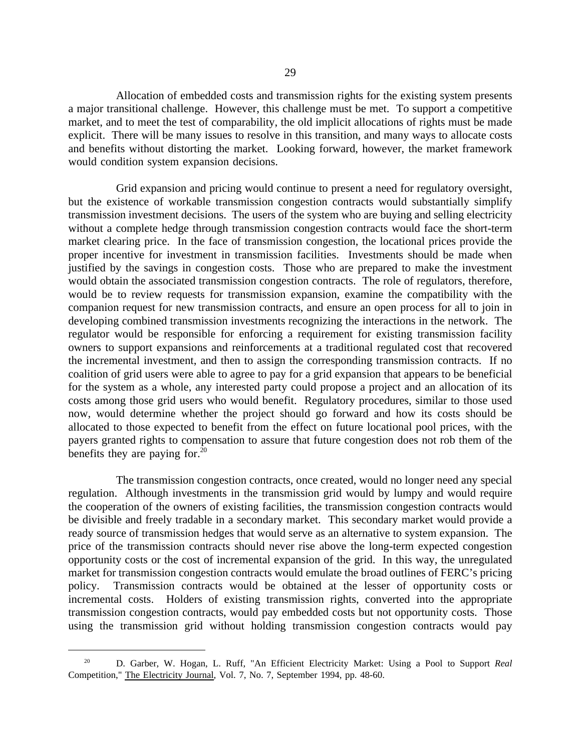Allocation of embedded costs and transmission rights for the existing system presents a major transitional challenge. However, this challenge must be met. To support a competitive market, and to meet the test of comparability, the old implicit allocations of rights must be made explicit. There will be many issues to resolve in this transition, and many ways to allocate costs and benefits without distorting the market. Looking forward, however, the market framework would condition system expansion decisions.

Grid expansion and pricing would continue to present a need for regulatory oversight, but the existence of workable transmission congestion contracts would substantially simplify transmission investment decisions. The users of the system who are buying and selling electricity without a complete hedge through transmission congestion contracts would face the short-term market clearing price. In the face of transmission congestion, the locational prices provide the proper incentive for investment in transmission facilities. Investments should be made when justified by the savings in congestion costs. Those who are prepared to make the investment would obtain the associated transmission congestion contracts. The role of regulators, therefore, would be to review requests for transmission expansion, examine the compatibility with the companion request for new transmission contracts, and ensure an open process for all to join in developing combined transmission investments recognizing the interactions in the network. The regulator would be responsible for enforcing a requirement for existing transmission facility owners to support expansions and reinforcements at a traditional regulated cost that recovered the incremental investment, and then to assign the corresponding transmission contracts. If no coalition of grid users were able to agree to pay for a grid expansion that appears to be beneficial for the system as a whole, any interested party could propose a project and an allocation of its costs among those grid users who would benefit. Regulatory procedures, similar to those used now, would determine whether the project should go forward and how its costs should be allocated to those expected to benefit from the effect on future locational pool prices, with the payers granted rights to compensation to assure that future congestion does not rob them of the benefits they are paying for. $20$ 

The transmission congestion contracts, once created, would no longer need any special regulation. Although investments in the transmission grid would by lumpy and would require the cooperation of the owners of existing facilities, the transmission congestion contracts would be divisible and freely tradable in a secondary market. This secondary market would provide a ready source of transmission hedges that would serve as an alternative to system expansion. The price of the transmission contracts should never rise above the long-term expected congestion opportunity costs or the cost of incremental expansion of the grid. In this way, the unregulated market for transmission congestion contracts would emulate the broad outlines of FERC's pricing policy. Transmission contracts would be obtained at the lesser of opportunity costs or incremental costs. Holders of existing transmission rights, converted into the appropriate transmission congestion contracts, would pay embedded costs but not opportunity costs. Those using the transmission grid without holding transmission congestion contracts would pay

<sup>20</sup> D. Garber, W. Hogan, L. Ruff, "An Efficient Electricity Market: Using a Pool to Support *Real* Competition," The Electricity Journal, Vol. 7, No. 7, September 1994, pp. 48-60.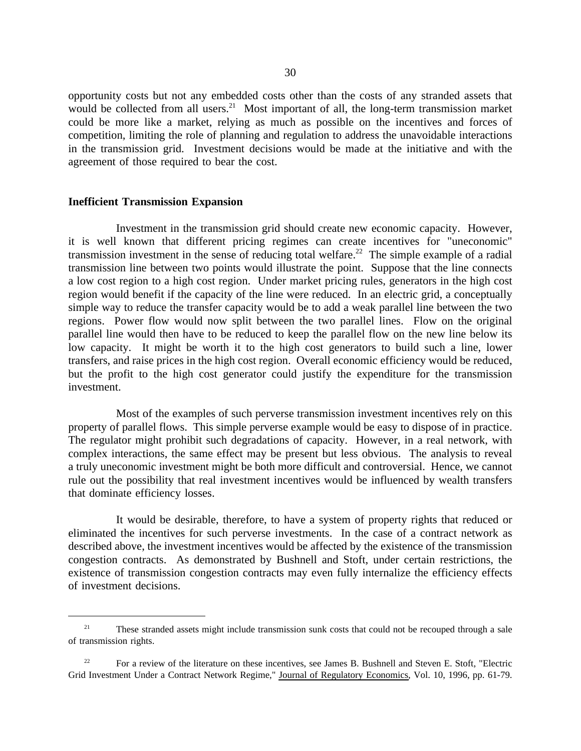opportunity costs but not any embedded costs other than the costs of any stranded assets that would be collected from all users.<sup>21</sup> Most important of all, the long-term transmission market could be more like a market, relying as much as possible on the incentives and forces of competition, limiting the role of planning and regulation to address the unavoidable interactions in the transmission grid. Investment decisions would be made at the initiative and with the agreement of those required to bear the cost.

#### **Inefficient Transmission Expansion**

Investment in the transmission grid should create new economic capacity. However, it is well known that different pricing regimes can create incentives for "uneconomic" transmission investment in the sense of reducing total welfare.<sup>22</sup> The simple example of a radial transmission line between two points would illustrate the point. Suppose that the line connects a low cost region to a high cost region. Under market pricing rules, generators in the high cost region would benefit if the capacity of the line were reduced. In an electric grid, a conceptually simple way to reduce the transfer capacity would be to add a weak parallel line between the two regions. Power flow would now split between the two parallel lines. Flow on the original parallel line would then have to be reduced to keep the parallel flow on the new line below its low capacity. It might be worth it to the high cost generators to build such a line, lower transfers, and raise prices in the high cost region. Overall economic efficiency would be reduced, but the profit to the high cost generator could justify the expenditure for the transmission investment.

Most of the examples of such perverse transmission investment incentives rely on this property of parallel flows. This simple perverse example would be easy to dispose of in practice. The regulator might prohibit such degradations of capacity. However, in a real network, with complex interactions, the same effect may be present but less obvious. The analysis to reveal a truly uneconomic investment might be both more difficult and controversial. Hence, we cannot rule out the possibility that real investment incentives would be influenced by wealth transfers that dominate efficiency losses.

It would be desirable, therefore, to have a system of property rights that reduced or eliminated the incentives for such perverse investments. In the case of a contract network as described above, the investment incentives would be affected by the existence of the transmission congestion contracts. As demonstrated by Bushnell and Stoft, under certain restrictions, the existence of transmission congestion contracts may even fully internalize the efficiency effects of investment decisions.

<sup>&</sup>lt;sup>21</sup> These stranded assets might include transmission sunk costs that could not be recouped through a sale of transmission rights.

<sup>&</sup>lt;sup>22</sup> For a review of the literature on these incentives, see James B. Bushnell and Steven E. Stoft, "Electric Grid Investment Under a Contract Network Regime," Journal of Regulatory Economics, Vol. 10, 1996, pp. 61-79.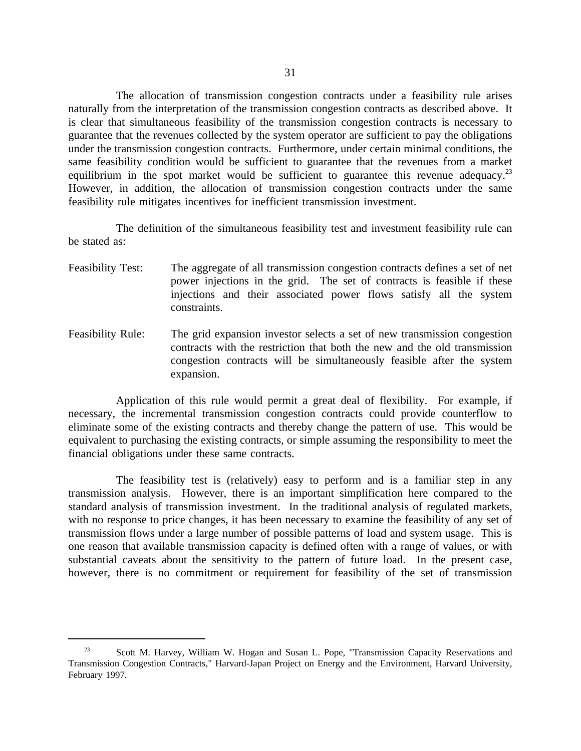The allocation of transmission congestion contracts under a feasibility rule arises naturally from the interpretation of the transmission congestion contracts as described above. It is clear that simultaneous feasibility of the transmission congestion contracts is necessary to guarantee that the revenues collected by the system operator are sufficient to pay the obligations under the transmission congestion contracts. Furthermore, under certain minimal conditions, the same feasibility condition would be sufficient to guarantee that the revenues from a market equilibrium in the spot market would be sufficient to guarantee this revenue adequacy.<sup>23</sup> However, in addition, the allocation of transmission congestion contracts under the same feasibility rule mitigates incentives for inefficient transmission investment.

The definition of the simultaneous feasibility test and investment feasibility rule can be stated as:

- Feasibility Test: The aggregate of all transmission congestion contracts defines a set of net power injections in the grid. The set of contracts is feasible if these injections and their associated power flows satisfy all the system constraints.
- Feasibility Rule: The grid expansion investor selects a set of new transmission congestion contracts with the restriction that both the new and the old transmission congestion contracts will be simultaneously feasible after the system expansion.

Application of this rule would permit a great deal of flexibility. For example, if necessary, the incremental transmission congestion contracts could provide counterflow to eliminate some of the existing contracts and thereby change the pattern of use. This would be equivalent to purchasing the existing contracts, or simple assuming the responsibility to meet the financial obligations under these same contracts.

The feasibility test is (relatively) easy to perform and is a familiar step in any transmission analysis. However, there is an important simplification here compared to the standard analysis of transmission investment. In the traditional analysis of regulated markets, with no response to price changes, it has been necessary to examine the feasibility of any set of transmission flows under a large number of possible patterns of load and system usage. This is one reason that available transmission capacity is defined often with a range of values, or with substantial caveats about the sensitivity to the pattern of future load. In the present case, however, there is no commitment or requirement for feasibility of the set of transmission

<sup>&</sup>lt;sup>23</sup> Scott M. Harvey, William W. Hogan and Susan L. Pope, "Transmission Capacity Reservations and Transmission Congestion Contracts," Harvard-Japan Project on Energy and the Environment, Harvard University, February 1997.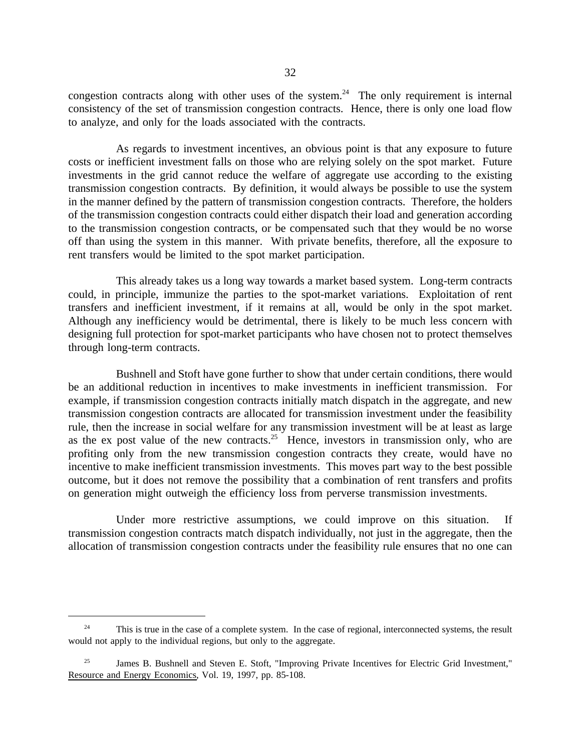congestion contracts along with other uses of the system.<sup>24</sup> The only requirement is internal consistency of the set of transmission congestion contracts. Hence, there is only one load flow to analyze, and only for the loads associated with the contracts.

As regards to investment incentives, an obvious point is that any exposure to future costs or inefficient investment falls on those who are relying solely on the spot market. Future investments in the grid cannot reduce the welfare of aggregate use according to the existing transmission congestion contracts. By definition, it would always be possible to use the system in the manner defined by the pattern of transmission congestion contracts. Therefore, the holders of the transmission congestion contracts could either dispatch their load and generation according to the transmission congestion contracts, or be compensated such that they would be no worse off than using the system in this manner. With private benefits, therefore, all the exposure to rent transfers would be limited to the spot market participation.

This already takes us a long way towards a market based system. Long-term contracts could, in principle, immunize the parties to the spot-market variations. Exploitation of rent transfers and inefficient investment, if it remains at all, would be only in the spot market. Although any inefficiency would be detrimental, there is likely to be much less concern with designing full protection for spot-market participants who have chosen not to protect themselves through long-term contracts.

Bushnell and Stoft have gone further to show that under certain conditions, there would be an additional reduction in incentives to make investments in inefficient transmission. For example, if transmission congestion contracts initially match dispatch in the aggregate, and new transmission congestion contracts are allocated for transmission investment under the feasibility rule, then the increase in social welfare for any transmission investment will be at least as large as the ex post value of the new contracts.<sup>25</sup> Hence, investors in transmission only, who are profiting only from the new transmission congestion contracts they create, would have no incentive to make inefficient transmission investments. This moves part way to the best possible outcome, but it does not remove the possibility that a combination of rent transfers and profits on generation might outweigh the efficiency loss from perverse transmission investments.

Under more restrictive assumptions, we could improve on this situation. If transmission congestion contracts match dispatch individually, not just in the aggregate, then the allocation of transmission congestion contracts under the feasibility rule ensures that no one can

<sup>&</sup>lt;sup>24</sup> This is true in the case of a complete system. In the case of regional, interconnected systems, the result would not apply to the individual regions, but only to the aggregate.

<sup>&</sup>lt;sup>25</sup> James B. Bushnell and Steven E. Stoft, "Improving Private Incentives for Electric Grid Investment," Resource and Energy Economics, Vol. 19, 1997, pp. 85-108.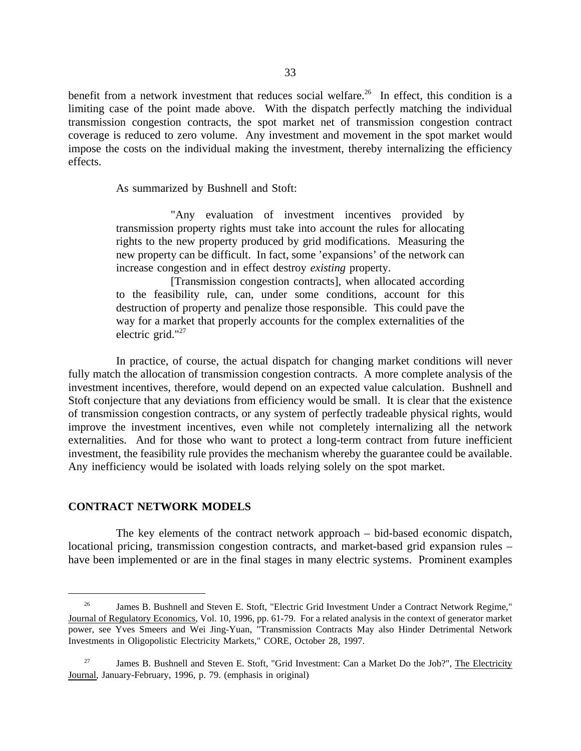benefit from a network investment that reduces social welfare.<sup>26</sup> In effect, this condition is a limiting case of the point made above. With the dispatch perfectly matching the individual transmission congestion contracts, the spot market net of transmission congestion contract coverage is reduced to zero volume. Any investment and movement in the spot market would impose the costs on the individual making the investment, thereby internalizing the efficiency effects.

As summarized by Bushnell and Stoft:

"Any evaluation of investment incentives provided by transmission property rights must take into account the rules for allocating rights to the new property produced by grid modifications. Measuring the new property can be difficult. In fact, some 'expansions' of the network can increase congestion and in effect destroy *existing* property.

[Transmission congestion contracts], when allocated according to the feasibility rule, can, under some conditions, account for this destruction of property and penalize those responsible. This could pave the way for a market that properly accounts for the complex externalities of the electric grid." $^{27}$ 

In practice, of course, the actual dispatch for changing market conditions will never fully match the allocation of transmission congestion contracts. A more complete analysis of the investment incentives, therefore, would depend on an expected value calculation. Bushnell and Stoft conjecture that any deviations from efficiency would be small. It is clear that the existence of transmission congestion contracts, or any system of perfectly tradeable physical rights, would improve the investment incentives, even while not completely internalizing all the network externalities. And for those who want to protect a long-term contract from future inefficient investment, the feasibility rule provides the mechanism whereby the guarantee could be available. Any inefficiency would be isolated with loads relying solely on the spot market.

# **CONTRACT NETWORK MODELS**

The key elements of the contract network approach – bid-based economic dispatch, locational pricing, transmission congestion contracts, and market-based grid expansion rules – have been implemented or are in the final stages in many electric systems. Prominent examples

<sup>&</sup>lt;sup>26</sup> James B. Bushnell and Steven E. Stoft, "Electric Grid Investment Under a Contract Network Regime," Journal of Regulatory Economics, Vol. 10, 1996, pp. 61-79. For a related analysis in the context of generator market power, see Yves Smeers and Wei Jing-Yuan, "Transmission Contracts May also Hinder Detrimental Network Investments in Oligopolistic Electricity Markets," CORE, October 28, 1997.

<sup>&</sup>lt;sup>27</sup> James B. Bushnell and Steven E. Stoft, "Grid Investment: Can a Market Do the Job?", The Electricity Journal, January-February, 1996, p. 79. (emphasis in original)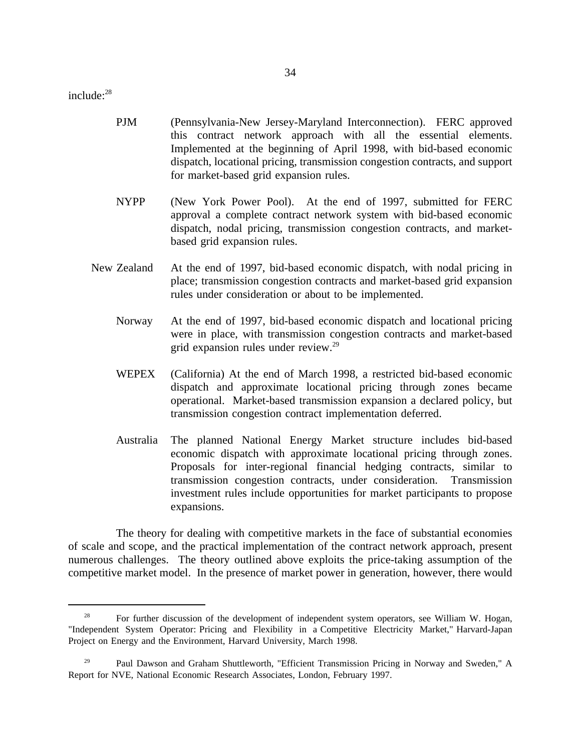include:<sup>28</sup>

- PJM (Pennsylvania-New Jersey-Maryland Interconnection). FERC approved this contract network approach with all the essential elements. Implemented at the beginning of April 1998, with bid-based economic dispatch, locational pricing, transmission congestion contracts, and support for market-based grid expansion rules.
- NYPP (New York Power Pool). At the end of 1997, submitted for FERC approval a complete contract network system with bid-based economic dispatch, nodal pricing, transmission congestion contracts, and marketbased grid expansion rules.
- New Zealand At the end of 1997, bid-based economic dispatch, with nodal pricing in place; transmission congestion contracts and market-based grid expansion rules under consideration or about to be implemented.
	- Norway At the end of 1997, bid-based economic dispatch and locational pricing were in place, with transmission congestion contracts and market-based grid expansion rules under review.<sup>29</sup>
	- WEPEX (California) At the end of March 1998, a restricted bid-based economic dispatch and approximate locational pricing through zones became operational. Market-based transmission expansion a declared policy, but transmission congestion contract implementation deferred.
	- Australia The planned National Energy Market structure includes bid-based economic dispatch with approximate locational pricing through zones. Proposals for inter-regional financial hedging contracts, similar to transmission congestion contracts, under consideration. Transmission investment rules include opportunities for market participants to propose expansions.

The theory for dealing with competitive markets in the face of substantial economies of scale and scope, and the practical implementation of the contract network approach, present numerous challenges. The theory outlined above exploits the price-taking assumption of the competitive market model. In the presence of market power in generation, however, there would

<sup>&</sup>lt;sup>28</sup> For further discussion of the development of independent system operators, see William W. Hogan, "Independent System Operator: Pricing and Flexibility in a Competitive Electricity Market," Harvard-Japan Project on Energy and the Environment, Harvard University, March 1998.

<sup>&</sup>lt;sup>29</sup> Paul Dawson and Graham Shuttleworth, "Efficient Transmission Pricing in Norway and Sweden," A Report for NVE, National Economic Research Associates, London, February 1997.